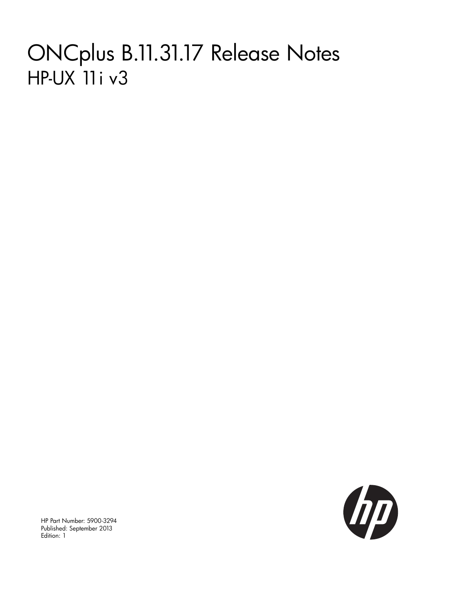# ONCplus B.11.31.17 Release Notes HP-UX 11i v3



HP Part Number: 5900-3294 Published: September 2013 Edition: 1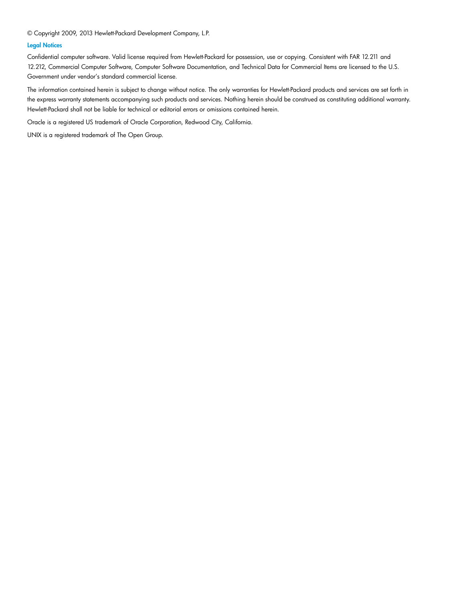© Copyright 2009, 2013 Hewlett-Packard Development Company, L.P.

#### Legal Notices

Confidential computer software. Valid license required from Hewlett-Packard for possession, use or copying. Consistent with FAR 12.211 and 12.212, Commercial Computer Software, Computer Software Documentation, and Technical Data for Commercial Items are licensed to the U.S. Government under vendor's standard commercial license.

The information contained herein is subject to change without notice. The only warranties for Hewlett-Packard products and services are set forth in the express warranty statements accompanying such products and services. Nothing herein should be construed as constituting additional warranty. Hewlett-Packard shall not be liable for technical or editorial errors or omissions contained herein.

Oracle is a registered US trademark of Oracle Corporation, Redwood City, California.

UNIX is a registered trademark of The Open Group.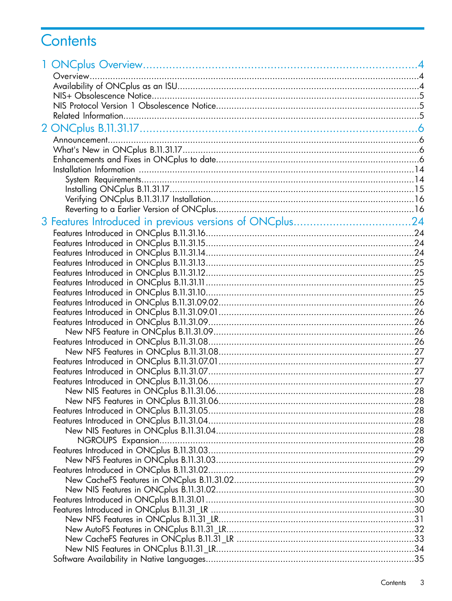# Contents

| 3 Features Introduced in previous versions of ONCplus24 |  |
|---------------------------------------------------------|--|
|                                                         |  |
|                                                         |  |
|                                                         |  |
|                                                         |  |
|                                                         |  |
|                                                         |  |
|                                                         |  |
|                                                         |  |
|                                                         |  |
|                                                         |  |
|                                                         |  |
|                                                         |  |
|                                                         |  |
|                                                         |  |
|                                                         |  |
|                                                         |  |
|                                                         |  |
|                                                         |  |
|                                                         |  |
|                                                         |  |
|                                                         |  |
|                                                         |  |
|                                                         |  |
|                                                         |  |
|                                                         |  |
|                                                         |  |
|                                                         |  |
|                                                         |  |
|                                                         |  |
|                                                         |  |
|                                                         |  |
|                                                         |  |
|                                                         |  |
|                                                         |  |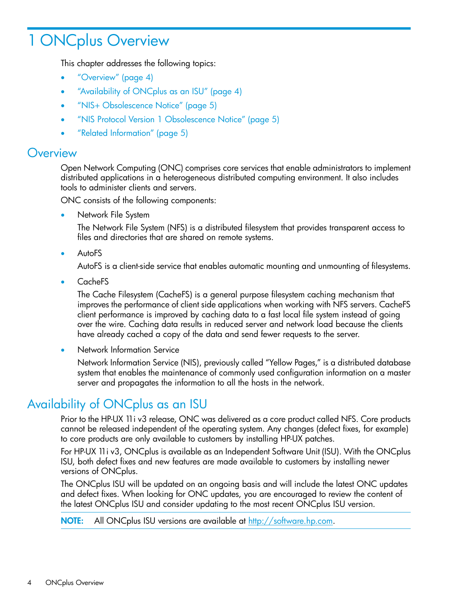# <span id="page-3-0"></span>1 ONCplus Overview

This chapter addresses the following topics:

- ["Overview"](#page-3-1) (page 4)
- ["Availability](#page-3-2) of ONCplus as an ISU" (page 4)
- "NIS+ [Obsolescence](#page-4-0) Notice" (page 5)
- "NIS Protocol Version 1 [Obsolescence](#page-4-1) Notice" (page 5)
- <span id="page-3-1"></span>• "Related [Information"](#page-4-2) (page 5)

### **Overview**

Open Network Computing (ONC) comprises core services that enable administrators to implement distributed applications in a heterogeneous distributed computing environment. It also includes tools to administer clients and servers.

ONC consists of the following components:

• Network File System

The Network File System (NFS) is a distributed filesystem that provides transparent access to files and directories that are shared on remote systems.

**AutoFS** 

AutoFS is a client-side service that enables automatic mounting and unmounting of filesystems.

• CacheFS

The Cache Filesystem (CacheFS) is a general purpose filesystem caching mechanism that improves the performance of client side applications when working with NFS servers. CacheFS client performance is improved by caching data to a fast local file system instead of going over the wire. Caching data results in reduced server and network load because the clients have already cached a copy of the data and send fewer requests to the server.

<span id="page-3-2"></span>• Network Information Service

Network Information Service (NIS), previously called "Yellow Pages," is a distributed database system that enables the maintenance of commonly used configuration information on a master server and propagates the information to all the hosts in the network.

## Availability of ONCplus as an ISU

Prior to the HP-UX 11i v3 release, ONC was delivered as a core product called NFS. Core products cannot be released independent of the operating system. Any changes (defect fixes, for example) to core products are only available to customers by installing HP-UX patches.

For HP-UX 11i v3, ONCplus is available as an Independent Software Unit (ISU). With the ONCplus ISU, both defect fixes and new features are made available to customers by installing newer versions of ONCplus.

The ONCplus ISU will be updated on an ongoing basis and will include the latest ONC updates and defect fixes. When looking for ONC updates, you are encouraged to review the content of the latest ONCplus ISU and consider updating to the most recent ONCplus ISU version.

NOTE: All ONCplus ISU versions are available at <http://software.hp.com>.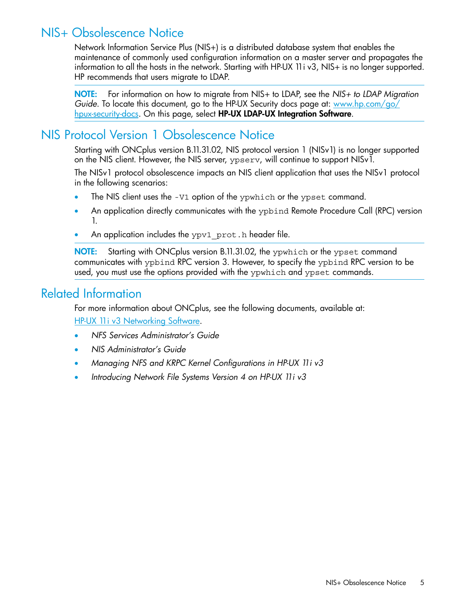# NIS+ Obsolescence Notice

<span id="page-4-0"></span>Network Information Service Plus (NIS+) is a distributed database system that enables the maintenance of commonly used configuration information on a master server and propagates the information to all the hosts in the network. Starting with HP-UX 11i v3, NIS+ is no longer supported. HP recommends that users migrate to LDAP.

<span id="page-4-1"></span>NOTE: For information on how to migrate from NIS+ to LDAP, see the *NIS+ to LDAP Migration Guide*. To locate this document, go to the HP-UX Security docs page at: [www.hp.com/go/](www.hp.com/go/hpux-security-docs) [hpux-security-docs](www.hp.com/go/hpux-security-docs). On this page, select HP-UX LDAP-UX Integration Software.

# NIS Protocol Version 1 Obsolescence Notice

Starting with ONCplus version B.11.31.02, NIS protocol version 1 (NISv1) is no longer supported on the NIS client. However, the NIS server, ypserv, will continue to support NISv1.

The NISv1 protocol obsolescence impacts an NIS client application that uses the NISv1 protocol in the following scenarios:

- The NIS client uses the -V1 option of the ypwhich or the ypset command.
- An application directly communicates with the ypbind Remote Procedure Call (RPC) version 1.
- An application includes the ypv1\_prot.h header file.

<span id="page-4-2"></span>NOTE: Starting with ONCplus version B.11.31.02, the ypwhich or the ypset command communicates with ypbind RPC version 3. However, to specify the ypbind RPC version to be used, you must use the options provided with the ypwhich and ypset commands.

# Related Information

For more information about ONCplus, see the following documents, available at: HP-UX 11i v3 [Networking](http://h20000.www2.hp.com/bizsupport/TechSupport/DocumentIndex.jsp?lang=en&cc=us&taskId=101&prodClassId=10008&contentType=SupportManual&docIndexId=64255&prodTypeId=18964&prodSeriesId=4155379) Software.

- *NFS Services Administrator's Guide*
- *NIS Administrator's Guide*
- *Managing NFS and KRPC Kernel Configurations in HP-UX 11i v3*
- *Introducing Network File Systems Version 4 on HP-UX 11i v3*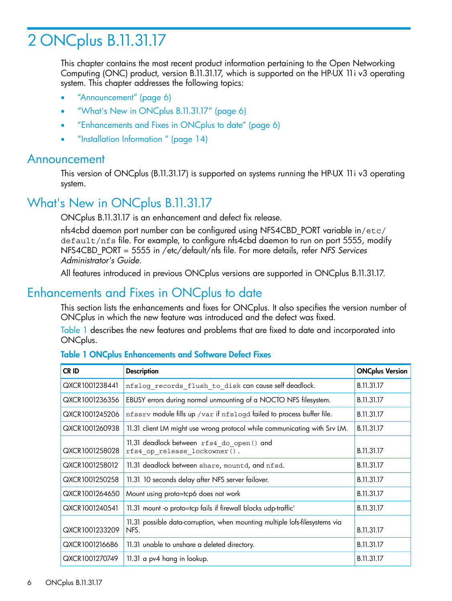# <span id="page-5-0"></span>2 ONCplus B.11.31.17

This chapter contains the most recent product information pertaining to the Open Networking Computing (ONC) product, version B.11.31.17, which is supported on the HP-UX 11i v3 operating system. This chapter addresses the following topics:

- ["Announcement"](#page-5-1) (page 6)
- "What's New in ONCplus [B.11.31.17"](#page-5-2) (page 6)
- ["Enhancements](#page-5-3) and Fixes in ONCplus to date" (page 6)
- <span id="page-5-1"></span>• ["Installation](#page-13-0) Information " (page 14)

### Announcement

<span id="page-5-2"></span>This version of ONCplus (B.11.31.17) is supported on systems running the HP-UX 11i v3 operating system.

# What's New in ONCplus B.11.31.17

ONCplus B.11.31.17 is an enhancement and defect fix release.

nfs4cbd daemon port number can be configured using NFS4CBD\_PORT variable in/etc/ default/nfs file. For example, to configure nfs4cbd daemon to run on port 5555, modify NFS4CBD\_PORT = 5555 in /etc/default/nfs file. For more details, refer *NFS Services Administrator's Guide*.

<span id="page-5-3"></span>All features introduced in previous ONCplus versions are supported in ONCplus B.11.31.17.

### Enhancements and Fixes in ONCplus to date

This section lists the enhancements and fixes for ONCplus. It also specifies the version number of ONCplus in which the new feature was introduced and the defect was fixed.

<span id="page-5-4"></span>[Table](#page-5-4) 1 describes the new features and problems that are fixed to date and incorporated into ONCplus.

| CR ID                                                                                                 | <b>Description</b>                                                        |            |
|-------------------------------------------------------------------------------------------------------|---------------------------------------------------------------------------|------------|
| QXCR1001238441                                                                                        | nfslog_records_flush_to_disk can cause self deadlock.                     | B.11.31.17 |
| QXCR1001236356                                                                                        | EBUSY errors during normal unmounting of a NOCTO NFS filesystem.          | B.11.31.17 |
| QXCR1001245206                                                                                        | nfssrv module fills up /var if nfslogd failed to process buffer file.     | B.11.31.17 |
| QXCR1001260938                                                                                        | 11.31 client LM might use wrong protocol while communicating with Srv LM. |            |
| 11.31 deadlock between rfs4_do_open() and<br>QXCR1001258028<br>rfs4 op release lockowner().           |                                                                           | B.11.31.17 |
| QXCR1001258012                                                                                        | 11.31 deadlock between share, mountd, and nfsd.                           |            |
| QXCR1001250258                                                                                        | 11.31 10 seconds delay after NFS server failover.                         |            |
| QXCR1001264650                                                                                        | Mount using proto=tcp6 does not work                                      |            |
| QXCR1001240541                                                                                        | 11.31 mount -o proto=tcp fails if firewall blocks udp-traffic'            |            |
| 11.31 possible data-corruption, when mounting multiple lofs-filesystems via<br>QXCR1001233209<br>NFS. |                                                                           | B.11.31.17 |
| QXCR1001216686                                                                                        | 11.31 unable to unshare a deleted directory.                              |            |
| QXCR1001270749<br>11.31 a pv4 hang in lookup.                                                         |                                                                           | B.11.31.17 |

#### Table 1 ONCplus Enhancements and Software Defect Fixes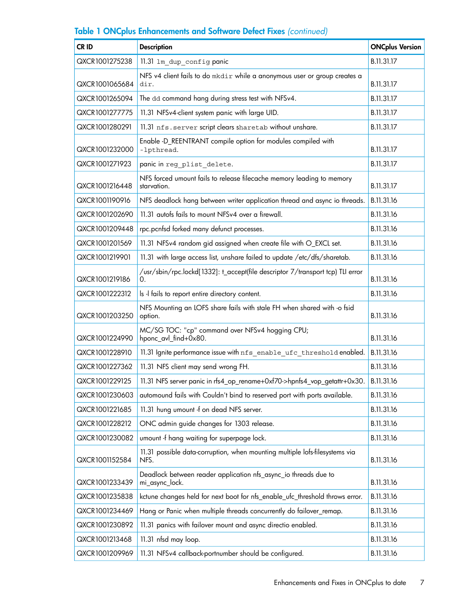| CR ID          | <b>Description</b>                                                                   |            |
|----------------|--------------------------------------------------------------------------------------|------------|
| QXCR1001275238 | 11.31 1m_dup_configpanic                                                             |            |
| QXCR1001065684 | NFS v4 client fails to do mkdir while a anonymous user or group creates a<br>dir.    |            |
| QXCR1001265094 | The dd command hang during stress test with NFSv4.                                   | B.11.31.17 |
| QXCR1001277775 | 11.31 NFSv4-client system panic with large UID.                                      | B.11.31.17 |
| QXCR1001280291 | 11.31 nfs. server script clears sharetab without unshare.                            | B.11.31.17 |
| QXCR1001232000 | Enable -D_REENTRANT compile option for modules compiled with<br>-lpthread.           | B.11.31.17 |
| QXCR1001271923 | panic in reg_plist_delete.                                                           | B.11.31.17 |
| QXCR1001216448 | NFS forced umount fails to release filecache memory leading to memory<br>starvation. | B.11.31.17 |
| QXCR1001190916 | NFS deadlock hang between writer application thread and async io threads.            | B.11.31.16 |
| QXCR1001202690 | 11.31 autofs fails to mount NFSv4 over a firewall.                                   | B.11.31.16 |
| QXCR1001209448 | rpc.pcnfsd forked many defunct processes.                                            | B.11.31.16 |
| QXCR1001201569 | 11.31 NFSv4 random gid assigned when create file with O_EXCL set.                    | B.11.31.16 |
| QXCR1001219901 | 11.31 with large access list, unshare failed to update /etc/dfs/sharetab.            | B.11.31.16 |
| QXCR1001219186 | /usr/sbin/rpc.lockd[1332]: t_accept(file descriptor 7/transport tcp) TLI error<br>0. | B.11.31.16 |
| QXCR1001222312 | Is -I fails to report entire directory content.                                      | B.11.31.16 |
| QXCR1001203250 | NFS Mounting an LOFS share fails with stale FH when shared with -o fsid<br>option.   |            |
| QXCR1001224990 | MC/SG TOC: "cp" command over NFSv4 hogging CPU;<br>hponc_avl_find+0x80.              |            |
| QXCR1001228910 | 11.31 Ignite performance issue with nfs enable ufc threshold enabled.                |            |
| QXCR1001227362 | 11.31 NFS client may send wrong FH.                                                  | B.11.31.16 |
| QXCR1001229125 | 11.31 NFS server panic in rfs4_op_rename+0xf70->hpnfs4_vop_getattr+0x30.             | B.11.31.16 |
| QXCR1001230603 | automound fails with Couldn't bind to reserved port with ports available.            | B.11.31.16 |
| QXCR1001221685 | 11.31 hung umount -f on dead NFS server.                                             | B.11.31.16 |
| QXCR1001228212 | ONC admin guide changes for 1303 release.                                            | B.11.31.16 |
| QXCR1001230082 | umount -f hang waiting for superpage lock.                                           | B.11.31.16 |
| QXCR1001152584 | 11.31 possible data-corruption, when mounting multiple lofs-filesystems via<br>NFS.  |            |
| QXCR1001233439 | Deadlock between reader application nfs_async_io threads due to<br>mi_async_lock.    |            |
| QXCR1001235838 | kctune changes held for next boot for nfs_enable_ufc_threshold throws error.         | B.11.31.16 |
| QXCR1001234469 | Hang or Panic when multiple threads concurrently do failover_remap.                  |            |
| QXCR1001230892 | 11.31 panics with failover mount and async directio enabled.                         |            |
| QXCR1001213468 | 11.31 nfsd may loop.                                                                 | B.11.31.16 |
| QXCR1001209969 | 11.31 NFSv4 callback-portnumber should be configured.                                |            |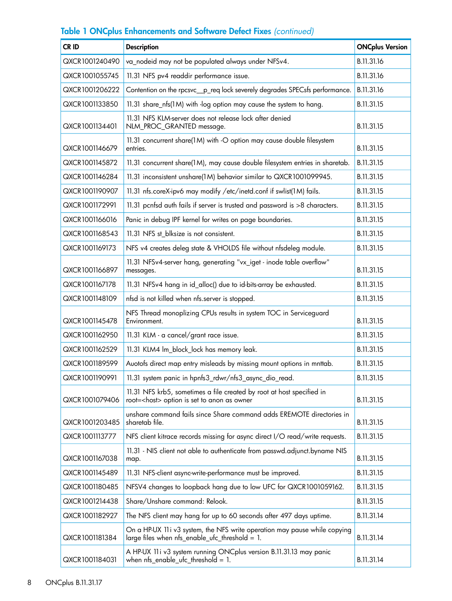| CR ID                                                                                                                            | <b>ONCplus Version</b><br><b>Description</b>                                                                                |            |
|----------------------------------------------------------------------------------------------------------------------------------|-----------------------------------------------------------------------------------------------------------------------------|------------|
| QXCR1001240490                                                                                                                   | va_nodeid may not be populated always under NFSv4.<br>B.11.31.16                                                            |            |
| QXCR1001055745                                                                                                                   | 11.31 NFS pv4 readdir performance issue.                                                                                    |            |
| QXCR1001206222                                                                                                                   | Contention on the rpcsvc_p_req lock severely degrades SPECsfs performance.                                                  |            |
| QXCR1001133850                                                                                                                   | 11.31 share_nfs(1M) with -log option may cause the system to hang.                                                          | B.11.31.15 |
| QXCR1001134401                                                                                                                   | 11.31 NFS KLM-server does not release lock after denied<br>NLM_PROC_GRANTED message.                                        | B.11.31.15 |
| QXCR1001146679                                                                                                                   | 11.31 concurrent share(1M) with -O option may cause double filesystem<br>entries.                                           | B.11.31.15 |
| QXCR1001145872                                                                                                                   | 11.31 concurrent share(1M), may cause double filesystem entries in sharetab.                                                | B.11.31.15 |
| QXCR1001146284                                                                                                                   | 11.31 inconsistent unshare(1M) behavior similar to QXCR1001099945.                                                          | B.11.31.15 |
| QXCR1001190907                                                                                                                   | 11.31 nfs.coreX-ipv6 may modify /etc/inetd.conf if swlist(1M) fails.                                                        | B.11.31.15 |
| QXCR1001172991                                                                                                                   | 11.31 pcnfsd auth fails if server is trusted and password is >8 characters.                                                 | B.11.31.15 |
| QXCR1001166016                                                                                                                   | Panic in debug IPF kernel for writes on page boundaries.                                                                    | B.11.31.15 |
| QXCR1001168543                                                                                                                   | 11.31 NFS st_blksize is not consistent.                                                                                     | B.11.31.15 |
| QXCR1001169173                                                                                                                   | NFS v4 creates deleg state & VHOLDS file without nfsdeleg module.                                                           | B.11.31.15 |
| QXCR1001166897                                                                                                                   | 11.31 NFSv4-server hang, generating "vx_iget - inode table overflow"<br>messages.                                           | B.11.31.15 |
| QXCR1001167178                                                                                                                   | 11.31 NFSv4 hang in id_alloc() due to id-bits-array be exhausted.                                                           | B.11.31.15 |
| QXCR1001148109                                                                                                                   | nfsd is not killed when nfs.server is stopped.                                                                              |            |
| QXCR1001145478                                                                                                                   | NFS Thread monoplizing CPUs results in system TOC in Serviceguard<br>Environment.                                           |            |
| QXCR1001162950                                                                                                                   | 11.31 KLM - a cancel/grant race issue.                                                                                      |            |
| QXCR1001162529                                                                                                                   | 11.31 KLM4 Im_block_lock has memory leak.                                                                                   |            |
| QXCR1001189599                                                                                                                   | Auotofs direct map entry misleads by missing mount options in mnttab.                                                       |            |
| QXCR1001190991                                                                                                                   | 11.31 system panic in hpnfs3_rdwr/nfs3_async_dio_read.                                                                      |            |
| QXCR1001079406                                                                                                                   | 11.31 NFS krb5, sometimes a file created by root at host specified in<br>root= <host> option is set to anon as owner</host> |            |
| QXCR1001203485                                                                                                                   | unshare command fails since Share command adds EREMOTE directories in<br>sharetab file.                                     |            |
| QXCR1001113777                                                                                                                   | NFS client kitrace records missing for async direct I/O read/write requests.                                                | B.11.31.15 |
| 11.31 - NIS client not able to authenticate from passwd.adjunct.byname NIS<br>QXCR1001167038<br>map.                             |                                                                                                                             | B.11.31.15 |
| QXCR1001145489<br>11.31 NFS-client async-write-performance must be improved.                                                     |                                                                                                                             | B.11.31.15 |
| QXCR1001180485                                                                                                                   | NFSV4 changes to loopback hang due to low UFC for QXCR1001059162.                                                           |            |
| QXCR1001214438                                                                                                                   | Share/Unshare command: Relook.                                                                                              |            |
| QXCR1001182927                                                                                                                   | The NFS client may hang for up to 60 seconds after 497 days uptime.                                                         |            |
| QXCR1001181384                                                                                                                   | On a HP-UX 11i v3 system, the NFS write operation may pause while copying<br>large files when nfs_enable_ufc_threshold = 1. |            |
| A HP-UX 11i v3 system running ONCplus version B.11.31.13 may panic<br>when $nfs\_enable\_ufc\_threshold = 1$ .<br>QXCR1001184031 |                                                                                                                             | B.11.31.14 |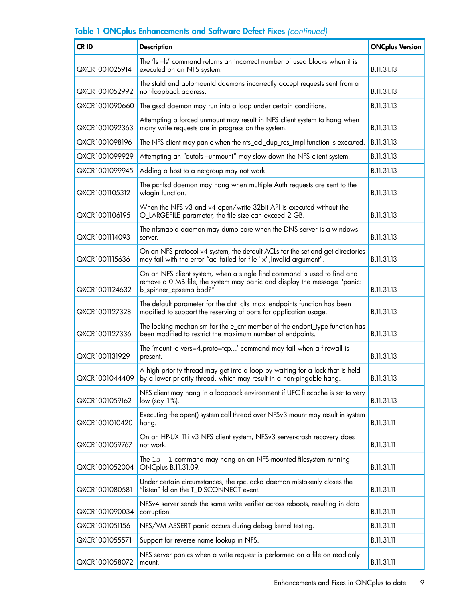| CR ID          | <b>Description</b>                                                                                                                                                             |            |
|----------------|--------------------------------------------------------------------------------------------------------------------------------------------------------------------------------|------------|
| QXCR1001025914 | The 'ls -ls' command returns an incorrect number of used blocks when it is<br>executed on an NFS system.                                                                       |            |
| QXCR1001052992 | The statd and automountd daemons incorrectly accept requests sent from a<br>non-loopback address.                                                                              |            |
| QXCR1001090660 | The gssd daemon may run into a loop under certain conditions.                                                                                                                  | B.11.31.13 |
| QXCR1001092363 | Attempting a forced unmount may result in NFS client system to hang when<br>many write requests are in progress on the system.                                                 | B.11.31.13 |
| QXCR1001098196 | The NFS client may panic when the nfs_acl_dup_res_impl function is executed.                                                                                                   | B.11.31.13 |
| QXCR1001099929 | Attempting an "autofs -unmount" may slow down the NFS client system.                                                                                                           | B.11.31.13 |
| QXCR1001099945 | Adding a host to a netgroup may not work.                                                                                                                                      | B.11.31.13 |
| QXCR1001105312 | The pcnfsd daemon may hang when multiple Auth requests are sent to the<br>wlogin function.                                                                                     | B.11.31.13 |
| QXCR1001106195 | When the NFS v3 and v4 open/write 32bit API is executed without the<br>O_LARGEFILE parameter, the file size can exceed 2 GB.                                                   | B.11.31.13 |
| QXCR1001114093 | The nfsmapid daemon may dump core when the DNS server is a windows<br>server.                                                                                                  | B.11.31.13 |
| QXCR1001115636 | On an NFS protocol v4 system, the default ACLs for the set and get directories<br>may fail with the error "acl failed for file "x", Invalid argument".                         | B.11.31.13 |
| QXCR1001124632 | On an NFS client system, when a single find command is used to find and<br>remove a 0 MB file, the system may panic and display the message "panic:<br>b_spinner_cpsema bad?". |            |
| QXCR1001127328 | The default parameter for the clnt_clts_max_endpoints function has been<br>modified to support the reserving of ports for application usage.                                   |            |
| QXCR1001127336 | The locking mechanism for the e_cnt member of the endpnt_type function has<br>been modified to restrict the maximum number of endpoints.                                       |            |
| QXCR1001131929 | The 'mount -o vers=4, proto=tcp' command may fail when a firewall is<br>present.                                                                                               |            |
| QXCR1001044409 | A high priority thread may get into a loop by waiting for a lock that is held<br>by a lower priority thread, which may result in a non-pingable hang.                          |            |
| QXCR1001059162 | NFS client may hang in a loopback environment if UFC filecache is set to very<br>low (say 1%).                                                                                 |            |
| QXCR1001010420 | Executing the open() system call thread over NFSv3 mount may result in system<br>hang.                                                                                         |            |
| QXCR1001059767 | On an HP-UX 11i v3 NFS client system, NFSv3 server-crash recovery does<br>not work.                                                                                            |            |
| QXCR1001052004 | The 1s -1 command may hang on an NFS-mounted filesystem running<br>ONCplus B.11.31.09.                                                                                         |            |
| QXCR1001080581 | Under certain circumstances, the rpc.lockd daemon mistakenly closes the<br>"listen" fd on the T_DISCONNECT event.                                                              |            |
| QXCR1001090034 | NFSv4 server sends the same write verifier across reboots, resulting in data<br>corruption.                                                                                    |            |
| QXCR1001051156 | NFS/VM ASSERT panic occurs during debug kernel testing.                                                                                                                        |            |
| QXCR1001055571 | Support for reverse name lookup in NFS.                                                                                                                                        |            |
| QXCR1001058072 | NFS server panics when a write request is performed on a file on read-only<br>mount.                                                                                           |            |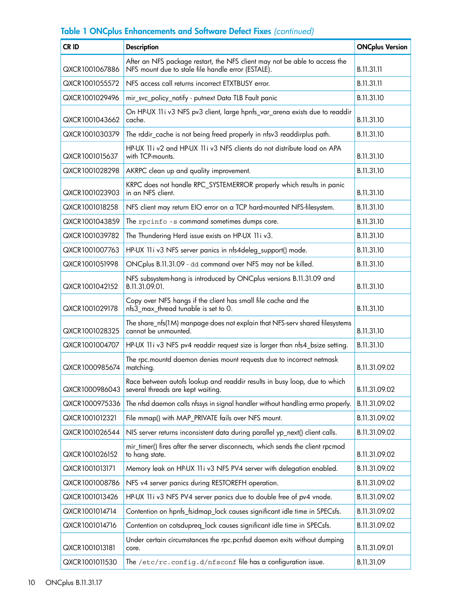| <b>CRID</b>                                                                                                              | <b>Description</b>                                                                                                               | <b>ONCplus Version</b> |
|--------------------------------------------------------------------------------------------------------------------------|----------------------------------------------------------------------------------------------------------------------------------|------------------------|
| QXCR1001067886                                                                                                           | After an NFS package restart, the NFS client may not be able to access the<br>NFS mount due to stale file handle error (ESTALE). |                        |
| QXCR1001055572                                                                                                           | NFS access call returns incorrect ETXTBUSY error.                                                                                |                        |
| QXCR1001029496                                                                                                           | mir_svc_policy_notify - putnext Data TLB Fault panic                                                                             | B.11.31.10             |
| QXCR1001043662                                                                                                           | On HP-UX 11i v3 NFS pv3 client, large hpnfs_var_arena exists due to readdir<br>cache.                                            | B.11.31.10             |
| QXCR1001030379                                                                                                           | The rddir_cache is not being freed properly in nfsv3 readdirplus path.                                                           | B.11.31.10             |
| QXCR1001015637                                                                                                           | HP-UX 11i v2 and HP-UX 11i v3 NFS clients do not distribute load on APA<br>with TCP-mounts.                                      | B.11.31.10             |
| QXCR1001028298                                                                                                           | AKRPC clean up and quality improvement.                                                                                          | B.11.31.10             |
| QXCR1001023903                                                                                                           | KRPC does not handle RPC_SYSTEMERROR properly which results in panic<br>in an NFS client.                                        | B.11.31.10             |
| QXCR1001018258                                                                                                           | NFS client may return EIO error on a TCP hard-mounted NFS-filesystem.                                                            | B.11.31.10             |
| QXCR1001043859                                                                                                           | The rpcinfo -s command sometimes dumps core.                                                                                     | B.11.31.10             |
| QXCR1001039782                                                                                                           | The Thundering Herd issue exists on HP-UX 11 iv3.                                                                                | B.11.31.10             |
| QXCR1001007763                                                                                                           | HP-UX 11i v3 NFS server panics in nfs4deleg_support() mode.                                                                      | B.11.31.10             |
| QXCR1001051998                                                                                                           | ONCplus B.11.31.09 - dd command over NFS may not be killed.                                                                      | B.11.31.10             |
| QXCR1001042152                                                                                                           | NFS subsystem-hang is introduced by ONCplus versions B.11.31.09 and<br>B.11.31.09.01.                                            |                        |
| Copy over NFS hangs if the client has small file cache and the<br>nfs3_max_thread tunable is set to 0.<br>QXCR1001029178 |                                                                                                                                  | B.11.31.10             |
| QXCR1001028325                                                                                                           | The share_nfs(1M) manpage does not explain that NFS-serv shared filesystems<br>cannot be unmounted.                              |                        |
| QXCR1001004707                                                                                                           | HP-UX 11i v3 NFS pv4 readdir request size is larger than nfs4_bsize setting.                                                     |                        |
| QXCR1000985674                                                                                                           | The rpc.mountd daemon denies mount requests due to incorrect netmask<br>matching.                                                |                        |
| QXCR1000986043                                                                                                           | Race between autofs lookup and readdir results in busy loop, due to which<br>several threads are kept waiting.                   |                        |
| QXCR1000975336                                                                                                           | The nfsd daemon calls nfssys in signal handler without handling errno properly.                                                  | B.11.31.09.02          |
| QXCR1001012321                                                                                                           | File mmap() with MAP_PRIVATE fails over NFS mount.                                                                               | B.11.31.09.02          |
| QXCR1001026544                                                                                                           | NIS server returns inconsistent data during parallel yp_next() client calls.                                                     |                        |
| QXCR1001026152                                                                                                           | mir_timer() fires after the server disconnects, which sends the client rpcmod<br>to hang state.                                  |                        |
| Memory leak on HP-UX 11 i v3 NFS PV4 server with delegation enabled.<br>QXCR1001013171                                   |                                                                                                                                  | B.11.31.09.02          |
| QXCR1001008786                                                                                                           | NFS v4 server panics during RESTOREFH operation.                                                                                 |                        |
| QXCR1001013426                                                                                                           | HP-UX 11i v3 NFS PV4 server panics due to double free of pv4 vnode.                                                              |                        |
| QXCR1001014714                                                                                                           | Contention on hpnfs_fsidmap_lock causes significant idle time in SPECsfs.                                                        |                        |
| QXCR1001014716                                                                                                           | Contention on cotsdupreq_lock causes significant idle time in SPECsfs.                                                           |                        |
| QXCR1001013181                                                                                                           | Under certain circumstances the rpc.pcnfsd daemon exits without dumping<br>core.                                                 |                        |
| The /etc/rc.config.d/nfsconf file has a configuration issue.<br>QXCR1001011530                                           |                                                                                                                                  | B.11.31.09             |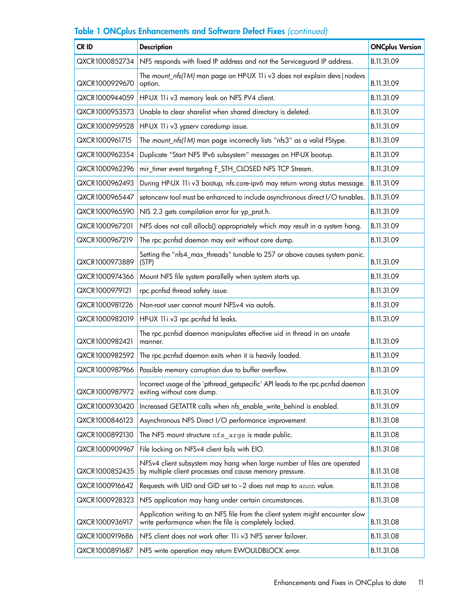| CR ID          | <b>Description</b>                                                                                                                      |            |
|----------------|-----------------------------------------------------------------------------------------------------------------------------------------|------------|
| QXCR1000852734 | NFS responds with fixed IP address and not the Serviceguard IP address.                                                                 |            |
| QXCR1000929670 | The mount_nfs(1M) man page on HP-UX 11i v3 does not explain devs   nodevs<br>option.                                                    |            |
| QXCR1000944059 | HP-UX 11i v3 memory leak on NFS PV4 client.                                                                                             | B.11.31.09 |
| QXCR1000953573 | Unable to clear sharelist when shared directory is deleted.                                                                             | B.11.31.09 |
| QXCR1000959528 | HP-UX 11i v3 ypserv coredump issue.                                                                                                     | B.11.31.09 |
| QXCR1000961715 | The mount_nfs(1M) man page incorrectly lists "nfs3" as a valid FStype.                                                                  | B.11.31.09 |
| QXCR1000962354 | Duplicate "Start NFS IPv6 subsystem" messages on HP-UX bootup.                                                                          | B.11.31.09 |
| QXCR1000962396 | mir_timer event targeting F_STH_CLOSED NFS TCP Stream.                                                                                  | B.11.31.09 |
| QXCR1000962493 | During HP-UX 11 iv3 bootup, nfs.core-ipv6 may return wrong status message.                                                              | B.11.31.09 |
| QXCR1000965447 | setoncenv tool must be enhanced to include asynchronous direct I/O tunables.                                                            | B.11.31.09 |
| QXCR1000965590 | NIS 2.3 gets compilation error for yp_prot.h.                                                                                           | B.11.31.09 |
| QXCR1000967201 | NFS does not call allocb() appropriately which may result in a system hang.                                                             | B.11.31.09 |
| QXCR1000967219 | The rpc.pcnfsd daemon may exit without core dump.                                                                                       | B.11.31.09 |
| QXCR1000973889 | Setting the "nfs4_max_threads" tunable to 257 or above causes system panic.<br>(STP)                                                    | B.11.31.09 |
| QXCR1000974366 | Mount NFS file system parallelly when system starts up.                                                                                 |            |
| QXCR1000979121 | rpc.pcnfsd thread safety issue.                                                                                                         | B.11.31.09 |
| QXCR1000981226 | Non-root user cannot mount NFSv4 via autofs.                                                                                            |            |
| QXCR1000982019 | HP-UX 11 i v3 rpc.pcnfsd fd leaks.                                                                                                      |            |
| QXCR1000982421 | The rpc.pcnfsd daemon manipulates effective uid in thread in an unsafe<br>manner.                                                       |            |
| QXCR1000982592 | The rpc.pcnfsd daemon exits when it is heavily loaded.                                                                                  | B.11.31.09 |
| QXCR1000987966 | Possible memory corruption due to buffer overflow.                                                                                      |            |
| QXCR1000987972 | Incorrect usage of the 'pthread_getspecific' API leads to the rpc.pcnfsd daemon<br>exiting without core dump.                           | B.11.31.09 |
| QXCR1000930420 | Increased GETATTR calls when nfs_enable_write_behind is enabled.                                                                        | B.11.31.09 |
| QXCR1000846123 | Asynchronous NFS Direct I/O performance improvement.                                                                                    | B.11.31.08 |
| QXCR1000892130 | The NFS mount structure nfs args is made public.                                                                                        | B.11.31.08 |
| QXCR1000909967 | File locking on NFSv4 client fails with EIO.                                                                                            | B.11.31.08 |
| QXCR1000852435 | NFSv4 client subsystem may hang when large number of files are operated<br>by multiple client processes and cause memory pressure.      |            |
| QXCR1000916642 | Requests with UID and GID set to -2 does not map to anon value.                                                                         |            |
| QXCR1000928323 | NFS application may hang under certain circumstances.                                                                                   |            |
| QXCR1000936917 | Application writing to an NFS file from the client system might encounter slow<br>write performance when the file is completely locked. |            |
| QXCR1000919686 | NFS client does not work after 11 iv 3 NFS server failover.                                                                             |            |
| QXCR1000891687 | NFS write operation may return EWOULDBLOCK error.                                                                                       |            |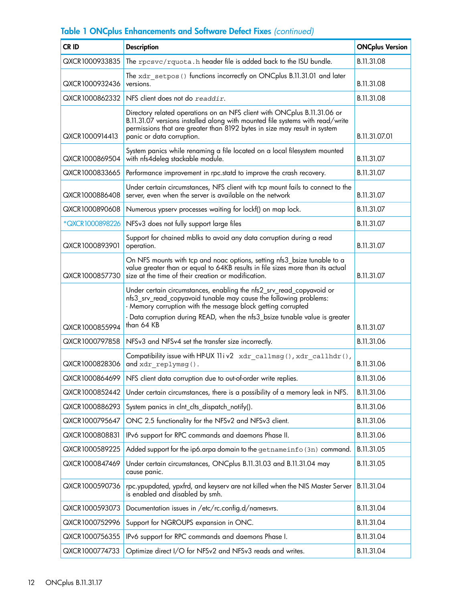| CR ID                                                                                                                                                                                                                               | <b>Description</b>                                                                                                                                                                                                                                                  | <b>ONCplus Version</b> |
|-------------------------------------------------------------------------------------------------------------------------------------------------------------------------------------------------------------------------------------|---------------------------------------------------------------------------------------------------------------------------------------------------------------------------------------------------------------------------------------------------------------------|------------------------|
| QXCR1000933835                                                                                                                                                                                                                      | The rpcsvc/rquota.h header file is added back to the ISU bundle.                                                                                                                                                                                                    | B.11.31.08             |
| QXCR1000932436                                                                                                                                                                                                                      | The xdr_setpos () functions incorrectly on ONCplus B.11.31.01 and later<br>versions.                                                                                                                                                                                |                        |
| QXCR1000862332                                                                                                                                                                                                                      | NFS client does not do readdir.                                                                                                                                                                                                                                     | B.11.31.08             |
| QXCR1000914413                                                                                                                                                                                                                      | Directory related operations on an NFS client with ONCplus B.11.31.06 or<br>B.11.31.07 versions installed along with mounted file systems with read/write<br>permissions that are greater than 8192 bytes in size may result in system<br>panic or data corruption. |                        |
| QXCR1000869504                                                                                                                                                                                                                      | System panics while renaming a file located on a local filesystem mounted<br>with nfs4deleg stackable module.                                                                                                                                                       | B.11.31.07             |
| QXCR1000833665                                                                                                                                                                                                                      | Performance improvement in rpc.statd to improve the crash recovery.                                                                                                                                                                                                 | B.11.31.07             |
| QXCR1000886408                                                                                                                                                                                                                      | Under certain circumstances, NFS client with tcp mount fails to connect to the<br>server, even when the server is available on the network                                                                                                                          | B.11.31.07             |
| QXCR1000890608                                                                                                                                                                                                                      | Numerous ypserv processes waiting for lockf() on map lock.                                                                                                                                                                                                          | B.11.31.07             |
| *QXCR1000898226                                                                                                                                                                                                                     | NFSv3 does not fully support large files                                                                                                                                                                                                                            | B.11.31.07             |
| QXCR1000893901                                                                                                                                                                                                                      | Support for chained mblks to avoid any data corruption during a read<br>operation.                                                                                                                                                                                  | B.11.31.07             |
| On NFS mounts with tcp and noac options, setting nfs3_bsize tunable to a<br>value greater than or equal to 64KB results in file sizes more than its actual<br>QXCR1000857730<br>size at the time of their creation or modification. |                                                                                                                                                                                                                                                                     | B.11.31.07             |
|                                                                                                                                                                                                                                     | Under certain circumstances, enabling the nfs2_srv_read_copyavoid or<br>nfs3_srv_read_copyavoid tunable may cause the following problems:<br>- Memory corruption with the message block getting corrupted                                                           |                        |
| - Data corruption during READ, when the nfs3_bsize tunable value is greater<br>than 64 KB<br>QXCR1000855994                                                                                                                         |                                                                                                                                                                                                                                                                     | B.11.31.07             |
| QXCR1000797858<br>NFSv3 and NFSv4 set the transfer size incorrectly.                                                                                                                                                                |                                                                                                                                                                                                                                                                     | B.11.31.06             |
| QXCR1000828306                                                                                                                                                                                                                      | Compatibility issue with HP-UX 11 iv2 xdr_callmsg(), xdr_callhdr(),<br>and xdr replymsg().                                                                                                                                                                          |                        |
| QXCR1000864699                                                                                                                                                                                                                      | NFS client data corruption due to out-of-order write replies.                                                                                                                                                                                                       |                        |
| QXCR1000852442                                                                                                                                                                                                                      | Under certain circumstances, there is a possibility of a memory leak in NFS.                                                                                                                                                                                        | B.11.31.06             |
| QXCR1000886293                                                                                                                                                                                                                      | System panics in clnt_clts_dispatch_notify().                                                                                                                                                                                                                       | B.11.31.06             |
| QXCR1000795647                                                                                                                                                                                                                      | ONC 2.5 functionality for the NFSv2 and NFSv3 client.                                                                                                                                                                                                               | B.11.31.06             |
| QXCR1000808831                                                                                                                                                                                                                      | IPv6 support for RPC commands and daemons Phase II.                                                                                                                                                                                                                 | B.11.31.06             |
| QXCR1000589225                                                                                                                                                                                                                      | Added support for the ip6.arpa domain to the getnameinfo (3n) command.                                                                                                                                                                                              | B.11.31.05             |
| QXCR1000847469                                                                                                                                                                                                                      | Under certain circumstances, ONCplus B.11.31.03 and B.11.31.04 may<br>cause panic.                                                                                                                                                                                  |                        |
| QXCR1000590736                                                                                                                                                                                                                      | rpc.ypupdated, ypxfrd, and keyserv are not killed when the NIS Master Server<br>is enabled and disabled by smh.                                                                                                                                                     |                        |
| QXCR1000593073                                                                                                                                                                                                                      | Documentation issues in /etc/rc.config.d/namesvrs.                                                                                                                                                                                                                  | B.11.31.04             |
| QXCR1000752996                                                                                                                                                                                                                      | Support for NGROUPS expansion in ONC.                                                                                                                                                                                                                               | B.11.31.04             |
| QXCR1000756355                                                                                                                                                                                                                      | IPv6 support for RPC commands and daemons Phase I.                                                                                                                                                                                                                  |                        |
| QXCR1000774733                                                                                                                                                                                                                      | Optimize direct I/O for NFSv2 and NFSv3 reads and writes.                                                                                                                                                                                                           |                        |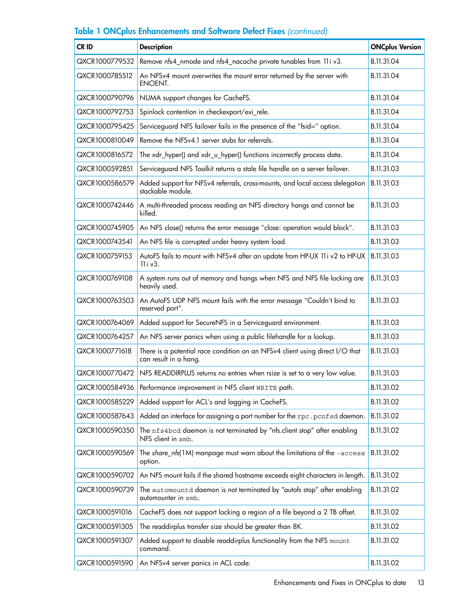| CR ID                                                 | <b>Description</b>                                                                                    | <b>ONCplus Version</b> |
|-------------------------------------------------------|-------------------------------------------------------------------------------------------------------|------------------------|
| QXCR1000779532                                        | Remove nfs4_nrnode and nfs4_nacache private tunables from 11i v3.                                     | B.11.31.04             |
| QXCR1000785512                                        | An NFSv4 mount overwrites the mount error returned by the server with<br>ENOENT.                      |                        |
| QXCR1000790796                                        | NUMA support changes for CacheFS.                                                                     | B.11.31.04             |
| QXCR1000792753                                        | Spinlock contention in checkexport/exi_rele.                                                          | B.11.31.04             |
| QXCR1000795425                                        | Serviceguard NFS failover fails in the presence of the "fsid=" option.                                | B.11.31.04             |
| QXCR1000810049                                        | Remove the NFSv4.1 server stubs for referrals.                                                        | B.11.31.04             |
| QXCR1000816572                                        | The xdr_hyper() and xdr_u_hyper() functions incorrectly process data.                                 | B.11.31.04             |
| QXCR1000592851                                        | Serviceguard NFS Toolkit returns a stale file handle on a server failover.                            | B.11.31.03             |
| QXCR1000586579                                        | Added support for NFSv4 referrals, cross-mounts, and local access delegation<br>stackable module.     | B.11.31.03             |
| QXCR1000742446                                        | A multi-threaded process reading an NFS directory hangs and cannot be<br>killed.                      | B.11.31.03             |
| QXCR1000745905                                        | An NFS close() returns the error message "close: operation would block".                              | B.11.31.03             |
| QXCR1000743541                                        | An NFS file is corrupted under heavy system load.                                                     | B.11.31.03             |
| QXCR1000759153                                        | AutoFS fails to mount with NFSv4 after an update from HP-UX 11i v2 to HP-UX<br>$11i$ v3.              |                        |
| QXCR1000769108                                        | A system runs out of memory and hangs when NFS and NFS file locking are<br>heavily used.              |                        |
| QXCR1000763503                                        | An AutoFS UDP NFS mount fails with the error message "Couldn't bind to<br>reserved port".             |                        |
| QXCR1000764069                                        | Added support for SecureNFS in a Serviceguard environment.                                            |                        |
| QXCR1000764257                                        | An NFS server panics when using a public filehandle for a lookup.                                     |                        |
| QXCR1000771618                                        | There is a potential race condition on an NFSv4 client using direct I/O that<br>can result in a hang. |                        |
| QXCR1000770472                                        | NFS READDIRPLUS returns no entries when rsize is set to a very low value.                             |                        |
| QXCR1000584936                                        | Performance improvement in NFS client WRITE path.                                                     |                        |
| QXCR1000585229                                        | Added support for ACL's and logging in CacheFS.                                                       | B.11.31.02             |
| QXCR1000587643                                        | Added an interface for assigning a port number for the rpc.pcnfsd daemon.                             | B.11.31.02             |
| QXCR1000590350                                        | The nfs4bcd daemon is not terminated by "nfs.client stop" after enabling<br>NFS client in smh.        | B.11.31.02             |
| QXCR1000590569                                        | The share_nfs(1M) manpage must warn about the limitations of the -access<br>option.                   |                        |
| QXCR1000590702                                        | An NFS mount fails if the shared hostname exceeds eight characters in length.                         |                        |
| QXCR1000590739                                        | The automountd daemon is not terminated by "autofs stop" after enabling<br>automounter in smh.        |                        |
| QXCR1000591016                                        | CacheFS does not support locking a region of a file beyond a 2 TB offset.                             | B.11.31.02             |
| QXCR1000591305                                        | The readdirplus transfer size should be greater than 8K.                                              |                        |
| QXCR1000591307                                        | Added support to disable readdirplus functionality from the NFS mount<br>command.                     |                        |
| QXCR1000591590<br>An NFSv4 server panics in ACL code. |                                                                                                       | B.11.31.02             |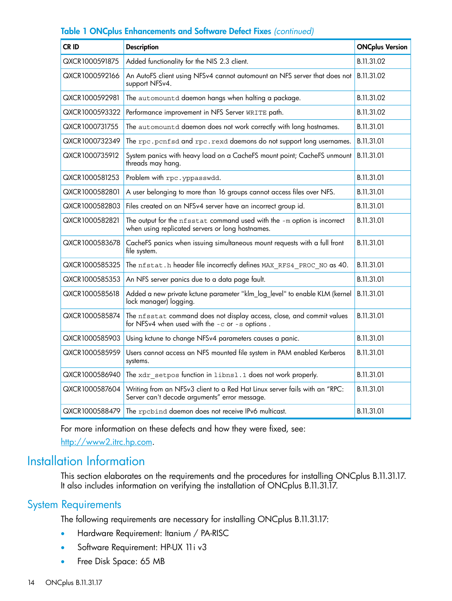| CR ID                                                                                                | <b>Description</b>                                                                                                          |            |
|------------------------------------------------------------------------------------------------------|-----------------------------------------------------------------------------------------------------------------------------|------------|
| QXCR1000591875                                                                                       | Added functionality for the NIS 2.3 client.                                                                                 | B.11.31.02 |
| QXCR1000592166                                                                                       | An AutoFS client using NFSv4 cannot automount an NFS server that does not<br>support NFSv4.                                 |            |
| QXCR1000592981                                                                                       | The automountd daemon hangs when halting a package.                                                                         | B.11.31.02 |
| QXCR1000593322                                                                                       | Performance improvement in NFS Server WRITE path.                                                                           | B.11.31.02 |
| QXCR1000731755                                                                                       | The automountd daemon does not work correctly with long hostnames.                                                          | B.11.31.01 |
| QXCR1000732349                                                                                       | The rpc.pcnfsd and rpc.rexd daemons do not support long usernames.                                                          | B.11.31.01 |
| QXCR1000735912                                                                                       | System panics with heavy load on a CacheFS mount point; CacheFS unmount<br>threads may hang.                                |            |
| QXCR1000581253                                                                                       | Problem with rpc.yppasswdd.                                                                                                 | B.11.31.01 |
| QXCR1000582801                                                                                       | A user belonging to more than 16 groups cannot access files over NFS.                                                       | B.11.31.01 |
| QXCR1000582803                                                                                       | Files created on an NFSv4 server have an incorrect group id.                                                                |            |
| QXCR1000582821                                                                                       | The output for the nfsstat command used with the -m option is incorrect<br>when using replicated servers or long hostnames. |            |
| QXCR1000583678                                                                                       | CacheFS panics when issuing simultaneous mount requests with a full front<br>file system.                                   |            |
| QXCR1000585325                                                                                       | The nfstat.h header file incorrectly defines MAX RFS4 PROC NO as 40.                                                        |            |
| QXCR1000585353                                                                                       | An NFS server panics due to a data page fault.                                                                              | B.11.31.01 |
| QXCR1000585618                                                                                       | Added a new private kctune parameter "klm_log_level" to enable KLM (kernel<br>lock manager) logging.                        |            |
| QXCR1000585874                                                                                       | The nfsstat command does not display access, close, and commit values<br>for NFSv4 when used with the -c or -s options.     |            |
| QXCR1000585903                                                                                       | Using kctune to change NFSv4 parameters causes a panic.                                                                     |            |
| Users cannot access an NFS mounted file system in PAM enabled Kerberos<br>QXCR1000585959<br>systems. |                                                                                                                             | B.11.31.01 |
| QXCR1000586940                                                                                       | The xdr setpos function in libnsl.1 does not work properly.                                                                 |            |
| QXCR1000587604                                                                                       | Writing from an NFSv3 client to a Red Hat Linux server fails with an "RPC:<br>Server can't decode arguments" error message. |            |
| QXCR1000588479<br>The rpcbind daemon does not receive IPv6 multicast.                                |                                                                                                                             | B.11.31.01 |

<span id="page-13-1"></span><span id="page-13-0"></span>For more information on these defects and how they were fixed, see: <http://www2.itrc.hp.com>.

### Installation Information

This section elaborates on the requirements and the procedures for installing ONCplus B.11.31.17. It also includes information on verifying the installation of ONCplus B.11.31.17.

### System Requirements

The following requirements are necessary for installing ONCplus B.11.31.17:

- Hardware Requirement: Itanium / PA-RISC
- Software Requirement: HP-UX 11 i v3
- Free Disk Space: 65 MB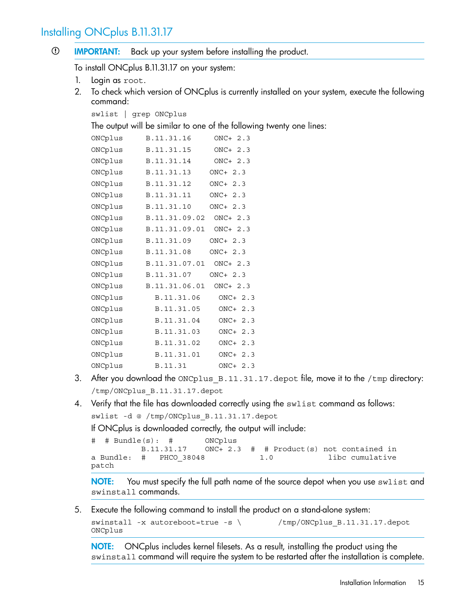### <span id="page-14-0"></span>Installing ONCplus B.11.31.17

 $\odot$ IMPORTANT: Back up your system before installing the product.

To install ONCplus B.11.31.17 on your system:

- 1. Login as root.
- 2. To check which version of ONCplus is currently installed on your system, execute the following command:

```
swlist | grep ONCplus
```
The output will be similar to one of the following twenty one lines:

| ONCplus | B.11.31.16    | $ONC+2.3$ |
|---------|---------------|-----------|
| ONCplus | B.11.31.15    | $ONC+2.3$ |
| ONCplus | B.11.31.14    | ONC+ 2.3  |
| ONCplus | B.11.31.13    | $ONC+2.3$ |
| ONCplus | B.11.31.12    | $ONC+2.3$ |
| ONCplus | B.11.31.11    | ONC+ 2.3  |
| ONCplus | B.11.31.10    | $ONC+2.3$ |
| ONCplus | B.11.31.09.02 | $ONC+2.3$ |
| ONCplus | B.11.31.09.01 | $ONC+2.3$ |
| ONCplus | B.11.31.09    | $ONC+2.3$ |
| ONCplus | B.11.31.08    | $ONC+2.3$ |
| ONCplus | B.11.31.07.01 | $ONC+2.3$ |
| ONCplus | B.11.31.07    | ONC+ 2.3  |
| ONCplus | B.11.31.06.01 | $ONC+2.3$ |
| ONCplus | B.11.31.06    | $ONC+2.3$ |
| ONCplus | B.11.31.05    | $ONC+2.3$ |
| ONCplus | B.11.31.04    | $ONC+2.3$ |
| ONCplus | B.11.31.03    | ONC+ 2.3  |
| ONCplus | B.11.31.02    | $ONC+2.3$ |
| ONCplus | B.11.31.01    | $ONC+2.3$ |
| ONCplus | B.11.31       | $ONC+2.3$ |

- 3. After you download the ONCplus B.11.31.17.depot file, move it to the /tmp directory: /tmp/ONCplus\_B.11.31.17.depot
- 4. Verify that the file has downloaded correctly using the swlist command as follows: swlist -d @ /tmp/ONCplus\_B.11.31.17.depot

If ONCplus is downloaded correctly, the output will include:

```
# # Bundle(s): # ONCplus 
         B.11.31.17 ONC+ 2.3 # # Product(s) not contained in
a Bundle: # PHCO_38048 1.0 libc cumulative
patch
```
**NOTE:** You must specify the full path name of the source depot when you use swlist and swinstall commands.

5. Execute the following command to install the product on a stand-alone system:

```
swinstall -x autoreboot=true -s \ /tmp/ONCplus B.11.31.17.depot
ONCplus
```
NOTE: ONCplus includes kernel filesets. As a result, installing the product using the swinstall command will require the system to be restarted after the installation is complete.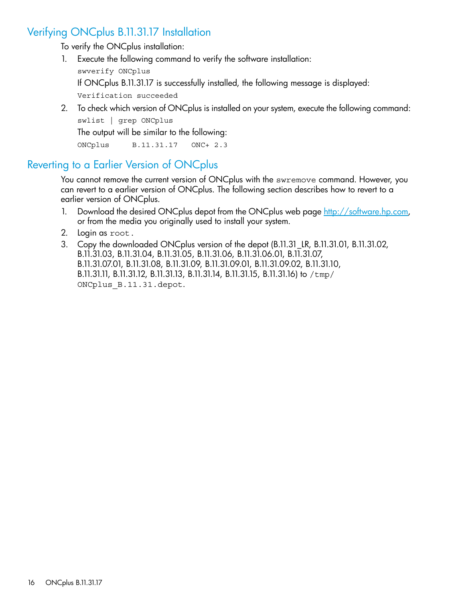### Verifying ONCplus B.11.31.17 Installation

<span id="page-15-0"></span>To verify the ONCplus installation:

1. Execute the following command to verify the software installation:

swverify ONCplus

If ONCplus B.11.31.17 is successfully installed, the following message is displayed:

Verification succeeded

2. To check which version of ONCplus is installed on your system, execute the following command:

swlist | grep ONCplus

The output will be similar to the following:

<span id="page-15-1"></span>ONCplus B.11.31.17 ONC+ 2.3

### Reverting to a Earlier Version of ONCplus

You cannot remove the current version of ONCplus with the swremove command. However, you can revert to a earlier version of ONCplus. The following section describes how to revert to a earlier version of ONCplus.

- 1. Download the desired ONCplus depot from the ONCplus web page <http://software.hp.com>, or from the media you originally used to install your system.
- 2. Login as root.
- 3. Copy the downloaded ONCplus version of the depot (B.11.31\_LR, B.11.31.01, B.11.31.02, B.11.31.03, B.11.31.04, B.11.31.05, B.11.31.06, B.11.31.06.01, B.11.31.07, B.11.31.07.01, B.11.31.08, B.11.31.09, B.11.31.09.01, B.11.31.09.02, B.11.31.10, B.11.31.11, B.11.31.12, B.11.31.13, B.11.31.14, B.11.31.15, B.11.31.16) to /tmp/ ONCplus\_B.11.31.depot.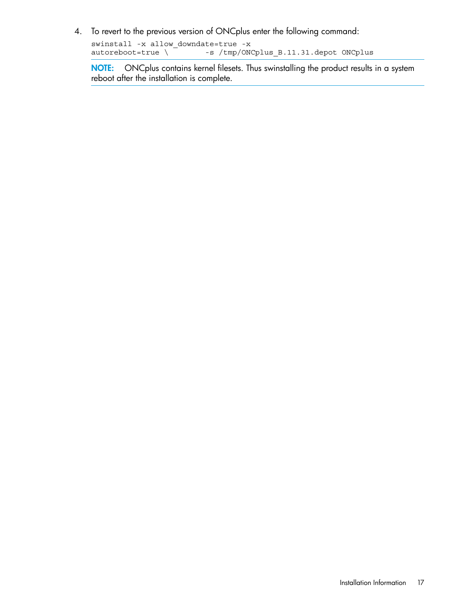4. To revert to the previous version of ONCplus enter the following command:

swinstall -x allow\_downdate=true -x autoreboot=true \ -s /tmp/ONCplus\_B.11.31.depot ONCplus

NOTE: ONCplus contains kernel filesets. Thus swinstalling the product results in a system reboot after the installation is complete.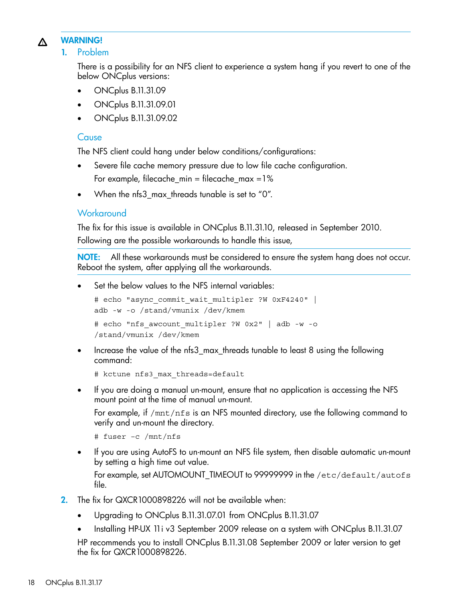#### <span id="page-17-0"></span>WARNING! Λ

1. Problem

There is a possibility for an NFS client to experience a system hang if you revert to one of the below ONCplus versions:

- ONCplus B.11.31.09
- ONCplus B.11.31.09.01
- ONCplus B.11.31.09.02

### **Cause**

The NFS client could hang under below conditions/configurations:

- Severe file cache memory pressure due to low file cache configuration. For example, filecache\_min = filecache\_max =1%
- When the nfs3\_max\_threads tunable is set to "0".

### **Workaround**

The fix for this issue is available in ONCplus B.11.31.10, released in September 2010. Following are the possible workarounds to handle this issue,

NOTE: All these workarounds must be considered to ensure the system hang does not occur. Reboot the system, after applying all the workarounds.

Set the below values to the NFS internal variables:

```
# echo "async commit wait multipler ?W 0xF4240" |
adb -w -o /stand/vmunix /dev/kmem
# echo "nfs_awcount_multipler ?W 0x2" | adb -w -o
/stand/vmunix /dev/kmem
```
• Increase the value of the nfs3\_max\_threads tunable to least 8 using the following command:

# kctune nfs3\_max\_threads=default

• If you are doing a manual un-mount, ensure that no application is accessing the NFS mount point at the time of manual un-mount.

For example, if /mnt/nfs is an NFS mounted directory, use the following command to verify and un-mount the directory.

# fuser –c /mnt/nfs

• If you are using AutoFS to un-mount an NFS file system, then disable automatic un-mount by setting a high time out value.

For example, set AUTOMOUNT\_TIMEOUT to 99999999 in the /etc/default/autofs file.

- 2. The fix for QXCR1000898226 will not be available when:
	- Upgrading to ONCplus B.11.31.07.01 from ONCplus B.11.31.07
	- Installing HP-UX 11i v3 September 2009 release on a system with ONCplus B.11.31.07 HP recommends you to install ONCplus B.11.31.08 September 2009 or later version to get the fix for QXCR1000898226.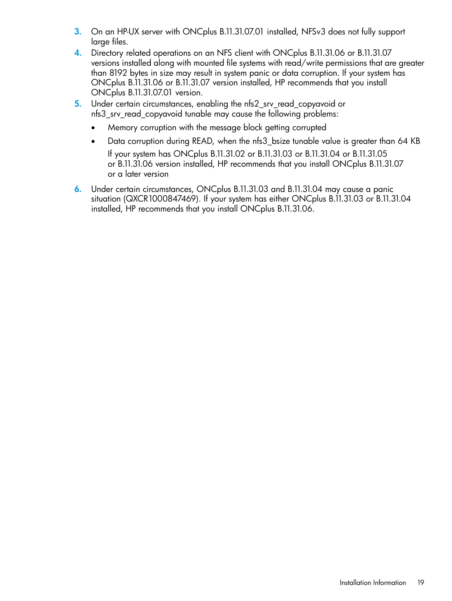- 3. On an HP-UX server with ONCplus B.11.31.07.01 installed, NFSv3 does not fully support large files.
- 4. Directory related operations on an NFS client with ONCplus B.11.31.06 or B.11.31.07 versions installed along with mounted file systems with read/write permissions that are greater than 8192 bytes in size may result in system panic or data corruption. If your system has ONCplus B.11.31.06 or B.11.31.07 version installed, HP recommends that you install ONCplus B.11.31.07.01 version.
- 5. Under certain circumstances, enabling the nfs2\_srv\_read\_copyavoid or nfs3\_srv\_read\_copyavoid tunable may cause the following problems:
	- Memory corruption with the message block getting corrupted
	- Data corruption during READ, when the nfs3\_bsize tunable value is greater than 64 KB If your system has ONCplus B.11.31.02 or B.11.31.03 or B.11.31.04 or B.11.31.05 or B.11.31.06 version installed, HP recommends that you install ONCplus B.11.31.07 or a later version
- 6. Under certain circumstances, ONCplus B.11.31.03 and B.11.31.04 may cause a panic situation (QXCR1000847469). If your system has either ONCplus B.11.31.03 or B.11.31.04 installed, HP recommends that you install ONCplus B.11.31.06.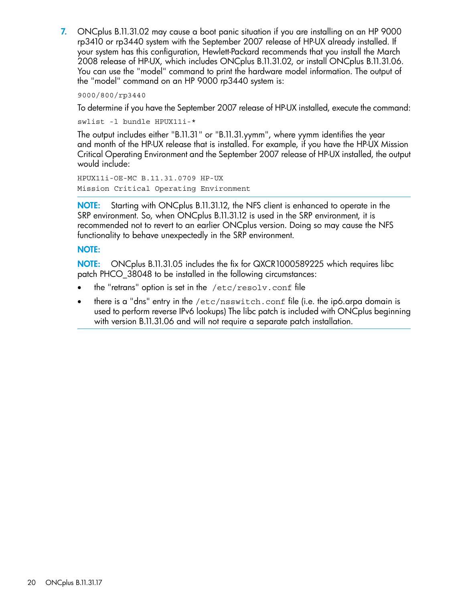7. ONCplus B.11.31.02 may cause a boot panic situation if you are installing on an HP 9000 rp3410 or rp3440 system with the September 2007 release of HP-UX already installed. If your system has this configuration, Hewlett-Packard recommends that you install the March 2008 release of HP-UX, which includes ONCplus B.11.31.02, or install ONCplus B.11.31.06. You can use the "model" command to print the hardware model information. The output of the "model" command on an HP 9000 rp3440 system is:

9000/800/rp3440

To determine if you have the September 2007 release of HP-UX installed, execute the command:

swlist -l bundle HPUX11i-\*

The output includes either "B.11.31" or "B.11.31.yymm", where yymm identifies the year and month of the HP-UX release that is installed. For example, if you have the HP-UX Mission Critical Operating Environment and the September 2007 release of HP-UX installed, the output would include:

HPUX11i-OE-MC B.11.31.0709 HP-UX Mission Critical Operating Environment

NOTE: Starting with ONCplus B.11.31.12, the NFS client is enhanced to operate in the SRP environment. So, when ONCplus B.11.31.12 is used in the SRP environment, it is recommended not to revert to an earlier ONCplus version. Doing so may cause the NFS functionality to behave unexpectedly in the SRP environment.

#### NOTE:

NOTE: ONCplus B.11.31.05 includes the fix for QXCR1000589225 which requires libc patch PHCO\_38048 to be installed in the following circumstances:

- the "retrans" option is set in the  $/etc/resolv$ .conf file
- there is a "dns" entry in the  $/etc/nsswitch.comf$  file (i.e. the ip6.arpa domain is used to perform reverse IPv6 lookups) The libc patch is included with ONCplus beginning with version B.11.31.06 and will not require a separate patch installation.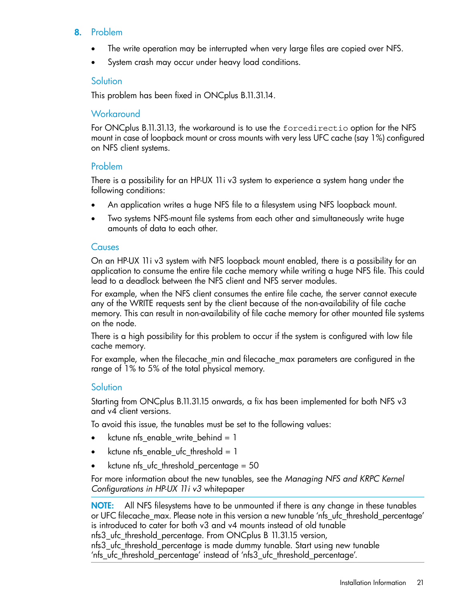### 8. Problem

- The write operation may be interrupted when very large files are copied over NFS.
- System crash may occur under heavy load conditions.

### **Solution**

This problem has been fixed in ONCplus B.11.31.14.

### **Workaround**

For ONCplus B.11.31.13, the workaround is to use the forcedirectio option for the NFS mount in case of loopback mount or cross mounts with very less UFC cache (say 1%) configured on NFS client systems.

### Problem

There is a possibility for an HP-UX 11i v3 system to experience a system hang under the following conditions:

- An application writes a huge NFS file to a filesystem using NFS loopback mount.
- Two systems NFS-mount file systems from each other and simultaneously write huge amounts of data to each other.

#### **Causes**

On an HP-UX 11i v3 system with NFS loopback mount enabled, there is a possibility for an application to consume the entire file cache memory while writing a huge NFS file. This could lead to a deadlock between the NFS client and NFS server modules.

For example, when the NFS client consumes the entire file cache, the server cannot execute any of the WRITE requests sent by the client because of the non-availability of file cache memory. This can result in non-availability of file cache memory for other mounted file systems on the node.

There is a high possibility for this problem to occur if the system is configured with low file cache memory.

For example, when the filecache\_min and filecache\_max parameters are configured in the range of 1% to 5% of the total physical memory.

### **Solution**

Starting from ONCplus B.11.31.15 onwards, a fix has been implemented for both NFS v3 and v4 client versions.

To avoid this issue, the tunables must be set to the following values:

- kctune nfs\_enable\_write\_behind = 1
- kctune nfs\_enable\_ufc\_threshold = 1
- kctune nfs\_ufc\_threshold\_percentage = 50

For more information about the new tunables, see the *Managing NFS and KRPC Kernel Configurations in HP-UX 11i v3* whitepaper

NOTE: All NFS filesystems have to be unmounted if there is any change in these tunables or UFC filecache\_max. Please note in this version a new tunable 'nfs\_ufc\_threshold\_percentage' is introduced to cater for both v3 and v4 mounts instead of old tunable nfs3 ufc threshold percentage. From ONCplus B 11.31.15 version, nfs3\_ufc\_threshold\_percentage is made dummy tunable. Start using new tunable 'nfs\_ufc\_threshold\_percentage' instead of 'nfs3\_ufc\_threshold\_percentage'.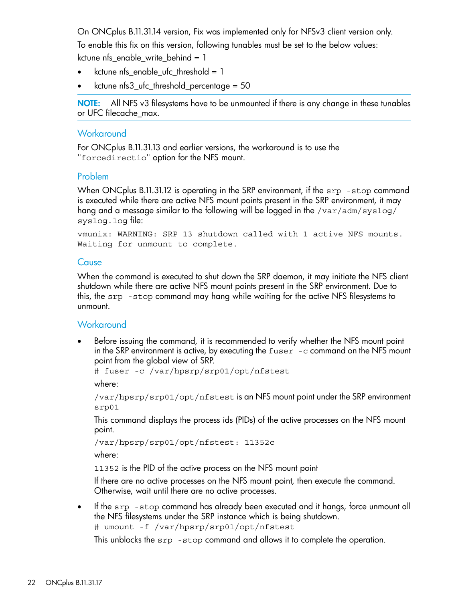On ONCplus B.11.31.14 version, Fix was implemented only for NFSv3 client version only. To enable this fix on this version, following tunables must be set to the below values: kctune nfs\_enable\_write\_behind = 1

- kctune nfs enable ufc threshold  $= 1$
- kctune nfs3\_ufc\_threshold\_percentage = 50

NOTE: All NFS v3 filesystems have to be unmounted if there is any change in these tunables or UFC filecache\_max.

#### **Workaround**

For ONCplus B.11.31.13 and earlier versions, the workaround is to use the "forcedirectio" option for the NFS mount.

#### Problem

When ONCplus B.11.31.12 is operating in the SRP environment, if the srp -stop command is executed while there are active NFS mount points present in the SRP environment, it may hang and a message similar to the following will be logged in the /var/adm/syslog/ syslog.log file:

vmunix: WARNING: SRP 13 shutdown called with 1 active NFS mounts. Waiting for unmount to complete.

#### **Cause**

When the command is executed to shut down the SRP daemon, it may initiate the NFS client shutdown while there are active NFS mount points present in the SRP environment. Due to this, the srp -stop command may hang while waiting for the active NFS filesystems to unmount.

#### **Workaround**

• Before issuing the command, it is recommended to verify whether the NFS mount point in the SRP environment is active, by executing the fuser -c command on the NFS mount point from the global view of SRP.

# fuser -c /var/hpsrp/srp01/opt/nfstest

where:

```
/var/hpsrp/srp01/opt/nfstest is an NFS mount point under the SRP environment
srp01
```
This command displays the process ids (PIDs) of the active processes on the NFS mount point.

```
/var/hpsrp/srp01/opt/nfstest: 11352c
```
where:

11352 is the PID of the active process on the NFS mount point

If there are no active processes on the NFS mount point, then execute the command. Otherwise, wait until there are no active processes.

If the srp -stop command has already been executed and it hangs, force unmount all the NFS filesystems under the SRP instance which is being shutdown. # umount -f /var/hpsrp/srp01/opt/nfstest

This unblocks the srp -stop command and allows it to complete the operation.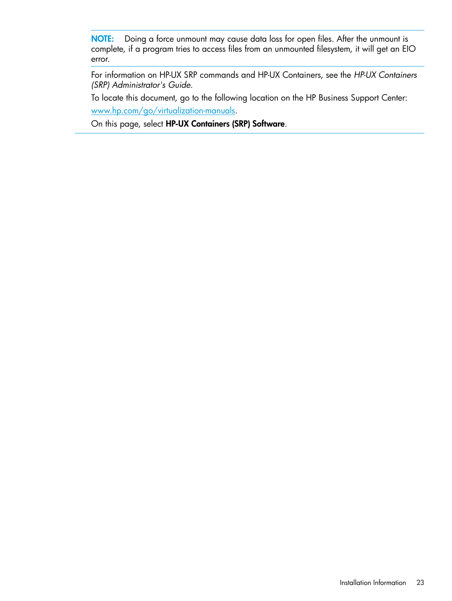NOTE: Doing a force unmount may cause data loss for open files. After the unmount is complete, if a program tries to access files from an unmounted filesystem, it will get an EIO error.

For information on HP-UX SRP commands and HP-UX Containers, see the *HP-UX Containers (SRP) Administrator's Guide*.

To locate this document, go to the following location on the HP Business Support Center: [www.hp.com/go/virtualization-manuals.](www.hp.com/go/virtualization-manuals)

On this page, select HP-UX Containers (SRP) Software.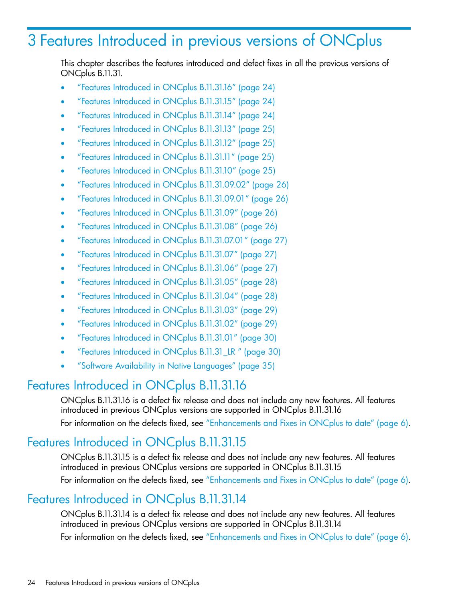# <span id="page-23-0"></span>3 Features Introduced in previous versions of ONCplus

This chapter describes the features introduced and defect fixes in all the previous versions of ONCplus B.11.31.

- "Features [Introduced](#page-23-1) in ONCplus B.11.31.16" (page 24)
- "Features [Introduced](#page-23-2) in ONCplus B.11.31.15" (page 24)
- "Features [Introduced](#page-23-3) in ONCplus B.11.31.14" (page 24)
- "Features [Introduced](#page-24-0) in ONCplus B.11.31.13" (page 25)
- "Features [Introduced](#page-24-1) in ONCplus B.11.31.12" (page 25)
- "Features [Introduced](#page-24-2) in ONCplus B.11.31.11" (page 25)
- "Features [Introduced](#page-24-3) in ONCplus B.11.31.10" (page 25)
- "Features Introduced in ONCplus [B.11.31.09.02"](#page-25-0) (page 26)
- "Features Introduced in ONCplus [B.11.31.09.01"](#page-25-1) (page 26)
- "Features Introduced in ONCplus [B.11.31.09"](#page-25-2) (page 26)
- "Features Introduced in ONCplus [B.11.31.08"](#page-25-4) (page 26)
- "Features Introduced in ONCplus [B.11.31.07.01"](#page-26-1) (page 27)
- "Features Introduced in ONCplus [B.11.31.07"](#page-26-2) (page 27)
- "Features Introduced in ONCplus [B.11.31.06"](#page-26-3) (page 27)
- "Features Introduced in ONCplus [B.11.31.05"](#page-27-2) (page 28)
- "Features Introduced in ONCplus [B.11.31.04"](#page-27-3) (page 28)
- "Features Introduced in ONCplus [B.11.31.03"](#page-28-0) (page 29)
- "Features Introduced in ONCplus [B.11.31.02"](#page-28-2) (page 29)
- <span id="page-23-1"></span>• "Features Introduced in ONCplus [B.11.31.01"](#page-29-1) (page 30)
- "Features [Introduced](#page-29-2) in ONCplus B.11.31\_LR " (page 30)
- "Software Availability in Native [Languages"](#page-34-0) (page 35)

### Features Introduced in ONCplus B.11.31.16

<span id="page-23-2"></span>ONCplus B.11.31.16 is a defect fix release and does not include any new features. All features introduced in previous ONCplus versions are supported in ONCplus B.11.31.16 For information on the defects fixed, see ["Enhancements](#page-5-3) and Fixes in ONCplus to date" (page 6).

## Features Introduced in ONCplus B.11.31.15

<span id="page-23-3"></span>ONCplus B.11.31.15 is a defect fix release and does not include any new features. All features introduced in previous ONCplus versions are supported in ONCplus B.11.31.15 For information on the defects fixed, see ["Enhancements](#page-5-3) and Fixes in ONCplus to date" (page 6).

### Features Introduced in ONCplus B.11.31.14

ONCplus B.11.31.14 is a defect fix release and does not include any new features. All features introduced in previous ONCplus versions are supported in ONCplus B.11.31.14 For information on the defects fixed, see ["Enhancements](#page-5-3) and Fixes in ONCplus to date" (page 6).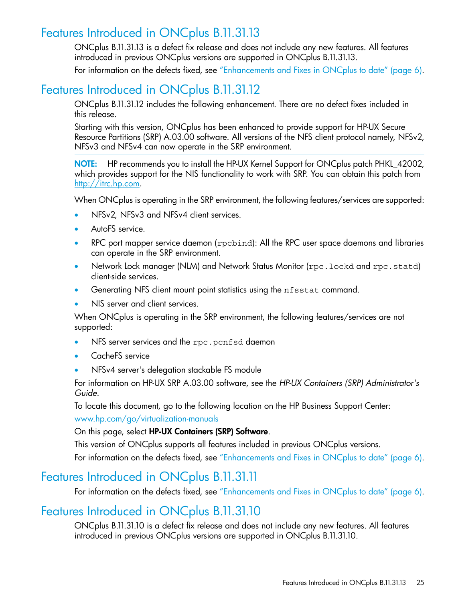## Features Introduced in ONCplus B.11.31.13

<span id="page-24-0"></span>ONCplus B.11.31.13 is a defect fix release and does not include any new features. All features introduced in previous ONCplus versions are supported in ONCplus B.11.31.13.

<span id="page-24-1"></span>For information on the defects fixed, see ["Enhancements](#page-5-3) and Fixes in ONCplus to date" (page 6).

# Features Introduced in ONCplus B.11.31.12

ONCplus B.11.31.12 includes the following enhancement. There are no defect fixes included in this release.

Starting with this version, ONCplus has been enhanced to provide support for HP-UX Secure Resource Partitions (SRP) A.03.00 software. All versions of the NFS client protocol namely, NFSv2, NFSv3 and NFSv4 can now operate in the SRP environment.

NOTE: HP recommends you to install the HP-UX Kernel Support for ONCplus patch PHKL 42002, which provides support for the NIS functionality to work with SRP. You can obtain this patch from [http://itrc.hp.com.](http://itrc.hp.com)

When ONCplus is operating in the SRP environment, the following features/services are supported:

- NFSv2, NFSv3 and NFSv4 client services.
- AutoFS service.
- RPC port mapper service daemon (rpcbind): All the RPC user space daemons and libraries can operate in the SRP environment.
- Network Lock manager (NLM) and Network Status Monitor (rpc. lockd and rpc. statd) client-side services.
- Generating NFS client mount point statistics using the nfsstat command.
- NIS server and client services.

When ONCplus is operating in the SRP environment, the following features/services are not supported:

- NFS server services and the rpc.pcnfsd daemon
- CacheFS service
- NFSv4 server's delegation stackable FS module

For information on HP-UX SRP A.03.00 software, see the *HP-UX Containers (SRP) Administrator's Guide*.

To locate this document, go to the following location on the HP Business Support Center:

<span id="page-24-2"></span><www.hp.com/go/virtualization-manuals>

#### On this page, select HP-UX Containers (SRP) Software.

This version of ONCplus supports all features included in previous ONCplus versions.

<span id="page-24-3"></span>For information on the defects fixed, see ["Enhancements](#page-5-3) and Fixes in ONCplus to date" (page 6).

### Features Introduced in ONCplus B.11.31.11

For information on the defects fixed, see ["Enhancements](#page-5-3) and Fixes in ONCplus to date" (page 6).

## Features Introduced in ONCplus B.11.31.10

ONCplus B.11.31.10 is a defect fix release and does not include any new features. All features introduced in previous ONCplus versions are supported in ONCplus B.11.31.10.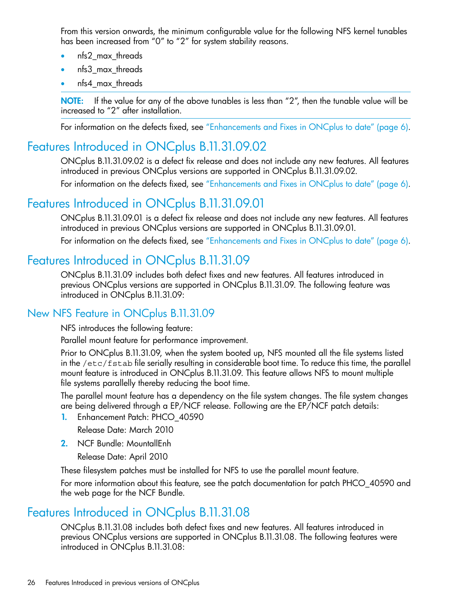From this version onwards, the minimum configurable value for the following NFS kernel tunables has been increased from "0" to "2" for system stability reasons.

- nfs2 max threads
- nfs3 max threads
- nfs4\_max\_threads

NOTE: If the value for any of the above tunables is less than "2", then the tunable value will be increased to "2" after installation.

<span id="page-25-0"></span>For information on the defects fixed, see ["Enhancements](#page-5-3) and Fixes in ONCplus to date" (page 6).

# Features Introduced in ONCplus B.11.31.09.02

ONCplus B.11.31.09.02 is a defect fix release and does not include any new features. All features introduced in previous ONCplus versions are supported in ONCplus B.11.31.09.02.

<span id="page-25-1"></span>For information on the defects fixed, see ["Enhancements](#page-5-3) and Fixes in ONCplus to date" (page 6).

# Features Introduced in ONCplus B.11.31.09.01

<span id="page-25-2"></span>ONCplus B.11.31.09.01 is a defect fix release and does not include any new features. All features introduced in previous ONCplus versions are supported in ONCplus B.11.31.09.01. For information on the defects fixed, see ["Enhancements](#page-5-3) and Fixes in ONCplus to date" (page 6).

# Features Introduced in ONCplus B.11.31.09

<span id="page-25-3"></span>ONCplus B.11.31.09 includes both defect fixes and new features. All features introduced in previous ONCplus versions are supported in ONCplus B.11.31.09. The following feature was introduced in ONCplus B.11.31.09:

### New NFS Feature in ONCplus B.11.31.09

NFS introduces the following feature:

Parallel mount feature for performance improvement.

Prior to ONCplus B.11.31.09, when the system booted up, NFS mounted all the file systems listed in the /etc/fstab file serially resulting in considerable boot time. To reduce this time, the parallel mount feature is introduced in ONCplus B.11.31.09. This feature allows NFS to mount multiple file systems parallelly thereby reducing the boot time.

The parallel mount feature has a dependency on the file system changes. The file system changes are being delivered through a EP/NCF release. Following are the EP/NCF patch details:

- 1. Enhancement Patch: PHCO\_40590 Release Date: March 2010
- <span id="page-25-4"></span>2. NCF Bundle: MountallEnh

Release Date: April 2010

These filesystem patches must be installed for NFS to use the parallel mount feature.

For more information about this feature, see the patch documentation for patch PHCO\_40590 and the web page for the NCF Bundle.

# Features Introduced in ONCplus B.11.31.08

ONCplus B.11.31.08 includes both defect fixes and new features. All features introduced in previous ONCplus versions are supported in ONCplus B.11.31.08. The following features were introduced in ONCplus B.11.31.08: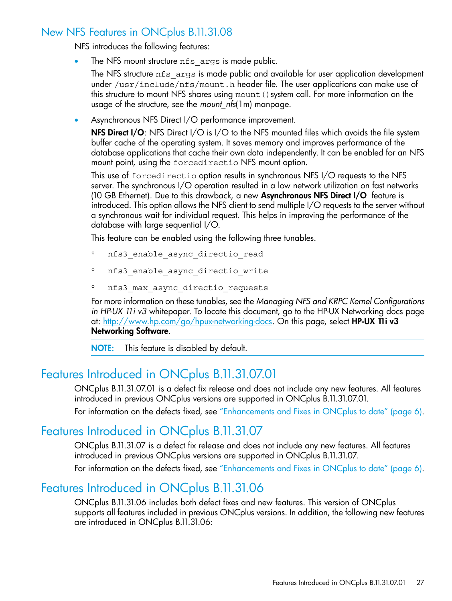### New NFS Features in ONCplus B.11.31.08

<span id="page-26-0"></span>NFS introduces the following features:

The NFS mount structure nfs args is made public.

The NFS structure nfs\_args is made public and available for user application development under /usr/include/nfs/mount.h header file. The user applications can make use of this structure to mount NFS shares using mount () system call. For more information on the usage of the structure, see the *mount\_nfs*(1m) manpage.

• Asynchronous NFS Direct I/O performance improvement.

NFS Direct I/O: NFS Direct I/O is I/O to the NFS mounted files which avoids the file system buffer cache of the operating system. It saves memory and improves performance of the database applications that cache their own data independently. It can be enabled for an NFS mount point, using the forcedirectio NFS mount option.

This use of forcedirectio option results in synchronous NFS I/O requests to the NFS server. The synchronous I/O operation resulted in a low network utilization on fast networks (10 GB Ethernet). Due to this drawback, a new Asynchronous NFS Direct I/O feature is introduced. This option allows the NFS client to send multiple I/O requests to the server without a synchronous wait for individual request. This helps in improving the performance of the database with large sequential I/O.

This feature can be enabled using the following three tunables.

- nfs3\_enable\_async\_directio\_read
- nfs3\_enable\_async\_directio\_write
- nfs3\_max\_async\_directio\_requests

For more information on these tunables, see the *Managing NFS and KRPC Kernel Configurations in HP-UX 11i v3* whitepaper. To locate this document, go to the HP-UX Networking docs page at: <http://www.hp.com/go/hpux-networking-docs>. On this page, select HP-UX 11iv3 Networking Software.

<span id="page-26-1"></span>NOTE: This feature is disabled by default.

### Features Introduced in ONCplus B.11.31.07.01

<span id="page-26-2"></span>ONCplus B.11.31.07.01 is a defect fix release and does not include any new features. All features introduced in previous ONCplus versions are supported in ONCplus B.11.31.07.01. For information on the defects fixed, see ["Enhancements](#page-5-3) and Fixes in ONCplus to date" (page 6).

### Features Introduced in ONCplus B.11.31.07

<span id="page-26-3"></span>ONCplus B.11.31.07 is a defect fix release and does not include any new features. All features introduced in previous ONCplus versions are supported in ONCplus B.11.31.07. For information on the defects fixed, see ["Enhancements](#page-5-3) and Fixes in ONCplus to date" (page 6).

## Features Introduced in ONCplus B.11.31.06

ONCplus B.11.31.06 includes both defect fixes and new features. This version of ONCplus supports all features included in previous ONCplus versions. In addition, the following new features are introduced in ONCplus B.11.31.06: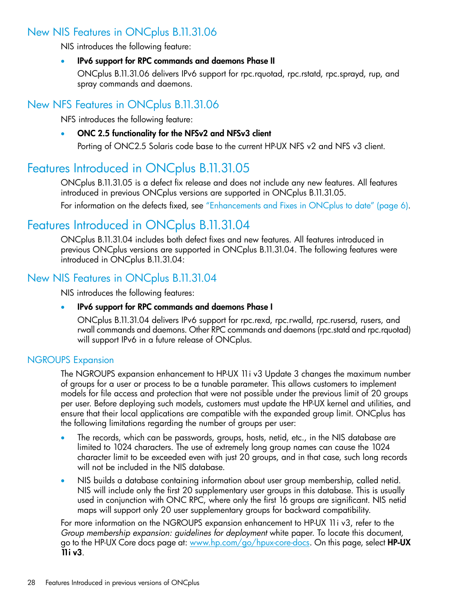### New NIS Features in ONCplus B.11.31.06

<span id="page-27-0"></span>NIS introduces the following feature:

#### • IPv6 support for RPC commands and daemons Phase II

<span id="page-27-1"></span>ONCplus B.11.31.06 delivers IPv6 support for rpc.rquotad, rpc.rstatd, rpc.sprayd, rup, and spray commands and daemons.

### New NFS Features in ONCplus B.11.31.06

NFS introduces the following feature:

### <span id="page-27-2"></span>• ONC 2.5 functionality for the NFSv2 and NFSv3 client

Porting of ONC2.5 Solaris code base to the current HP-UX NFS v2 and NFS v3 client.

# Features Introduced in ONCplus B.11.31.05

ONCplus B.11.31.05 is a defect fix release and does not include any new features. All features introduced in previous ONCplus versions are supported in ONCplus B.11.31.05.

<span id="page-27-3"></span>For information on the defects fixed, see ["Enhancements](#page-5-3) and Fixes in ONCplus to date" (page 6).

## Features Introduced in ONCplus B.11.31.04

<span id="page-27-4"></span>ONCplus B.11.31.04 includes both defect fixes and new features. All features introduced in previous ONCplus versions are supported in ONCplus B.11.31.04. The following features were introduced in ONCplus B.11.31.04:

### New NIS Features in ONCplus B.11.31.04

NIS introduces the following features:

#### <span id="page-27-5"></span>• IPv6 support for RPC commands and daemons Phase I

ONCplus B.11.31.04 delivers IPv6 support for rpc.rexd, rpc.rwalld, rpc.rusersd, rusers, and rwall commands and daemons. Other RPC commands and daemons (rpc.statd and rpc.rquotad) will support IPv6 in a future release of ONCplus.

#### NGROUPS Expansion

The NGROUPS expansion enhancement to HP-UX 11i v3 Update 3 changes the maximum number of groups for a user or process to be a tunable parameter. This allows customers to implement models for file access and protection that were not possible under the previous limit of 20 groups per user. Before deploying such models, customers must update the HP-UX kernel and utilities, and ensure that their local applications are compatible with the expanded group limit. ONCplus has the following limitations regarding the number of groups per user:

- The records, which can be passwords, groups, hosts, netid, etc., in the NIS database are limited to 1024 characters. The use of extremely long group names can cause the 1024 character limit to be exceeded even with just 20 groups, and in that case, such long records will not be included in the NIS database.
- NIS builds a database containing information about user group membership, called netid. NIS will include only the first 20 supplementary user groups in this database. This is usually used in conjunction with ONC RPC, where only the first 16 groups are significant. NIS netid maps will support only 20 user supplementary groups for backward compatibility.

For more information on the NGROUPS expansion enhancement to HP-UX 11i v3, refer to the *Group membership expansion: guidelines for deployment* white paper. To locate this document, go to the HP-UX Core docs page at: [www.hp.com/go/hpux-core-docs.](www.hp.com/go/hpux-core-docs) On this page, select HP-UX 11i v3.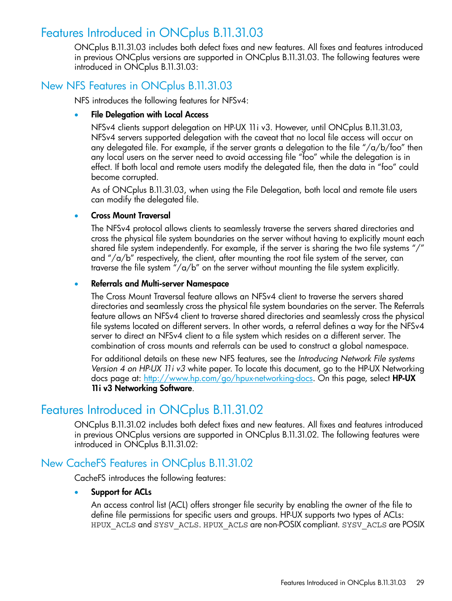### Features Introduced in ONCplus B.11.31.03

<span id="page-28-1"></span><span id="page-28-0"></span>ONCplus B.11.31.03 includes both defect fixes and new features. All fixes and features introduced in previous ONCplus versions are supported in ONCplus B.11.31.03. The following features were introduced in ONCplus B.11.31.03:

### New NFS Features in ONCplus B.11.31.03

NFS introduces the following features for NFSv4:

#### **File Delegation with Local Access**

NFSv4 clients support delegation on HP-UX 11i v3. However, until ONCplus B.11.31.03, NFSv4 servers supported delegation with the caveat that no local file access will occur on any delegated file. For example, if the server grants a delegation to the file "/a/b/foo" then any local users on the server need to avoid accessing file "foo" while the delegation is in effect. If both local and remote users modify the delegated file, then the data in "foo" could become corrupted.

As of ONCplus B.11.31.03, when using the File Delegation, both local and remote file users can modify the delegated file.

#### • Cross Mount Traversal

The NFSv4 protocol allows clients to seamlessly traverse the servers shared directories and cross the physical file system boundaries on the server without having to explicitly mount each shared file system independently. For example, if the server is sharing the two file systems "/" and "/ $a/b$ " respectively, the client, after mounting the root file system of the server, can traverse the file system " $\sqrt{a/b}$ " on the server without mounting the file system explicitly.

#### • Referrals and Multi-server Namespace

The Cross Mount Traversal feature allows an NFSv4 client to traverse the servers shared directories and seamlessly cross the physical file system boundaries on the server. The Referrals feature allows an NFSv4 client to traverse shared directories and seamlessly cross the physical file systems located on different servers. In other words, a referral defines a way for the NFSv4 server to direct an NFSv4 client to a file system which resides on a different server. The combination of cross mounts and referrals can be used to construct a global namespace.

<span id="page-28-2"></span>For additional details on these new NFS features, see the *Introducing Network File systems Version 4 on HP-UX 11i v3* white paper. To locate this document, go to the HP-UX Networking docs page at: [http://www.hp.com/go/hpux-networking-docs.](http://www.hp.com/go/hpux-networking-docs) On this page, select HP-UX 11i v3 Networking Software.

# Features Introduced in ONCplus B.11.31.02

<span id="page-28-3"></span>ONCplus B.11.31.02 includes both defect fixes and new features. All fixes and features introduced in previous ONCplus versions are supported in ONCplus B.11.31.02. The following features were introduced in ONCplus B.11.31.02:

### New CacheFS Features in ONCplus B.11.31.02

CacheFS introduces the following features:

#### • Support for ACLs

An access control list (ACL) offers stronger file security by enabling the owner of the file to define file permissions for specific users and groups. HP-UX supports two types of ACLs: HPUX\_ACLS and SYSV\_ACLS. HPUX\_ACLS are non-POSIX compliant. SYSV\_ACLS are POSIX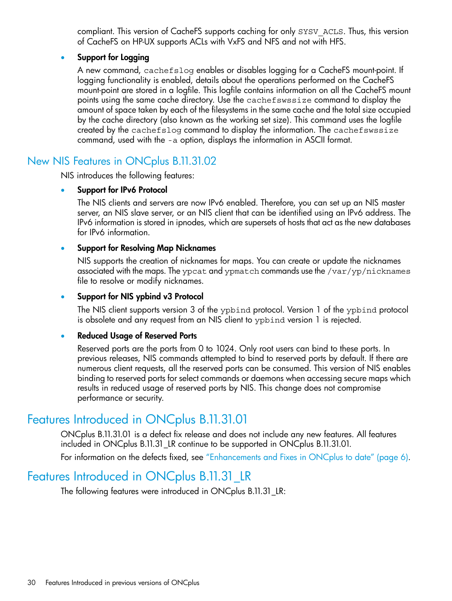compliant. This version of CacheFS supports caching for only SYSV\_ACLS. Thus, this version of CacheFS on HP-UX supports ACLs with VxFS and NFS and not with HFS.

### • Support for Logging

A new command, cachefslog enables or disables logging for a CacheFS mount-point. If logging functionality is enabled, details about the operations performed on the CacheFS mount-point are stored in a logfile. This logfile contains information on all the CacheFS mount points using the same cache directory. Use the cachefswssize command to display the amount of space taken by each of the filesystems in the same cache and the total size occupied by the cache directory (also known as the working set size). This command uses the logfile created by the cachefslog command to display the information. The cachefswssize command, used with the -a option, displays the information in ASCII format.

### <span id="page-29-0"></span>New NIS Features in ONCplus B.11.31.02

NIS introduces the following features:

#### • Support for IPv6 Protocol

The NIS clients and servers are now IPv6 enabled. Therefore, you can set up an NIS master server, an NIS slave server, or an NIS client that can be identified using an IPv6 address. The IPv6 information is stored in ipnodes, which are supersets of hosts that act as the new databases for IPv6 information.

#### • Support for Resolving Map Nicknames

NIS supports the creation of nicknames for maps. You can create or update the nicknames associated with the maps. The ypcat and ypmatch commands use the /var/yp/nicknames file to resolve or modify nicknames.

### Support for NIS ypbind v3 Protocol

The NIS client supports version 3 of the ypbind protocol. Version 1 of the ypbind protocol is obsolete and any request from an NIS client to ypbind version 1 is rejected.

#### • Reduced Usage of Reserved Ports

<span id="page-29-1"></span>Reserved ports are the ports from 0 to 1024. Only root users can bind to these ports. In previous releases, NIS commands attempted to bind to reserved ports by default. If there are numerous client requests, all the reserved ports can be consumed. This version of NIS enables binding to reserved ports for select commands or daemons when accessing secure maps which results in reduced usage of reserved ports by NIS. This change does not compromise performance or security.

# Features Introduced in ONCplus B.11.31.01

<span id="page-29-2"></span>ONCplus B.11.31.01 is a defect fix release and does not include any new features. All features included in ONCplus B.11.31\_LR continue to be supported in ONCplus B.11.31.01. For information on the defects fixed, see ["Enhancements](#page-5-3) and Fixes in ONCplus to date" (page 6).

## Features Introduced in ONCplus B.11.31\_LR

The following features were introduced in ONCplus B.11.31\_LR: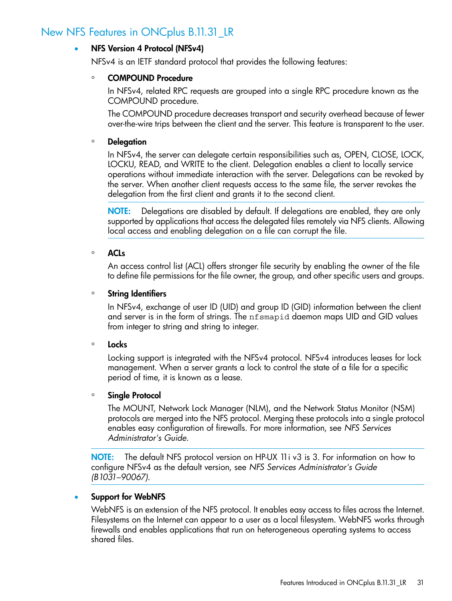### New NFS Features in ONCplus B.11.31\_LR

#### <span id="page-30-0"></span>• NFS Version 4 Protocol (NFSv4)

NFSv4 is an IETF standard protocol that provides the following features:

#### ◦ COMPOUND Procedure

In NFSv4, related RPC requests are grouped into a single RPC procedure known as the COMPOUND procedure.

The COMPOUND procedure decreases transport and security overhead because of fewer over-the-wire trips between the client and the server. This feature is transparent to the user.

#### ◦ Delegation

In NFSv4, the server can delegate certain responsibilities such as, OPEN, CLOSE, LOCK, LOCKU, READ, and WRITE to the client. Delegation enables a client to locally service operations without immediate interaction with the server. Delegations can be revoked by the server. When another client requests access to the same file, the server revokes the delegation from the first client and grants it to the second client.

NOTE: Delegations are disabled by default. If delegations are enabled, they are only supported by applications that access the delegated files remotely via NFS clients. Allowing local access and enabling delegation on a file can corrupt the file.

#### ◦ ACLs

An access control list (ACL) offers stronger file security by enabling the owner of the file to define file permissions for the file owner, the group, and other specific users and groups.

#### ◦ String Identifiers

In NFSv4, exchange of user ID (UID) and group ID (GID) information between the client and server is in the form of strings. The nfsmapid daemon maps UID and GID values from integer to string and string to integer.

#### ◦ Locks

Locking support is integrated with the NFSv4 protocol. NFSv4 introduces leases for lock management. When a server grants a lock to control the state of a file for a specific period of time, it is known as a lease.

#### ◦ Single Protocol

The MOUNT, Network Lock Manager (NLM), and the Network Status Monitor (NSM) protocols are merged into the NFS protocol. Merging these protocols into a single protocol enables easy configuration of firewalls. For more information, see *NFS Services Administrator's Guide*.

NOTE: The default NFS protocol version on HP-UX 11i v3 is 3. For information on how to configure NFSv4 as the default version, see *NFS Services Administrator's Guide (B1031–90067)*.

#### Support for WebNFS

WebNFS is an extension of the NFS protocol. It enables easy access to files across the Internet. Filesystems on the Internet can appear to a user as a local filesystem. WebNFS works through firewalls and enables applications that run on heterogeneous operating systems to access shared files.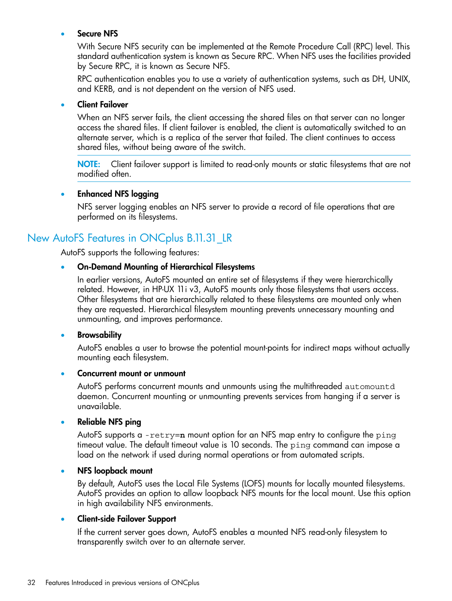#### **Secure NFS**

With Secure NFS security can be implemented at the Remote Procedure Call (RPC) level. This standard authentication system is known as Secure RPC. When NFS uses the facilities provided by Secure RPC, it is known as Secure NFS.

RPC authentication enables you to use a variety of authentication systems, such as DH, UNIX, and KERB, and is not dependent on the version of NFS used.

#### **Client Failover**

When an NFS server fails, the client accessing the shared files on that server can no longer access the shared files. If client failover is enabled, the client is automatically switched to an alternate server, which is a replica of the server that failed. The client continues to access shared files, without being aware of the switch.

NOTE: Client failover support is limited to read-only mounts or static filesystems that are not modified often.

#### <span id="page-31-0"></span>• Enhanced NFS logging

NFS server logging enables an NFS server to provide a record of file operations that are performed on its filesystems.

### New AutoFS Features in ONCplus B.11.31\_LR

AutoFS supports the following features:

#### • On-Demand Mounting of Hierarchical Filesystems

In earlier versions, AutoFS mounted an entire set of filesystems if they were hierarchically related. However, in HP-UX 11i v3, AutoFS mounts only those filesystems that users access. Other filesystems that are hierarchically related to these filesystems are mounted only when they are requested. Hierarchical filesystem mounting prevents unnecessary mounting and unmounting, and improves performance.

#### • Browsability

AutoFS enables a user to browse the potential mount-points for indirect maps without actually mounting each filesystem.

#### • Concurrent mount or unmount

AutoFS performs concurrent mounts and unmounts using the multithreaded automountd daemon. Concurrent mounting or unmounting prevents services from hanging if a server is unavailable.

#### • Reliable NFS ping

AutoFS supports a -retry=**n** mount option for an NFS map entry to configure the ping timeout value. The default timeout value is 10 seconds. The ping command can impose a load on the network if used during normal operations or from automated scripts.

#### • NFS loopback mount

By default, AutoFS uses the Local File Systems (LOFS) mounts for locally mounted filesystems. AutoFS provides an option to allow loopback NFS mounts for the local mount. Use this option in high availability NFS environments.

#### • Client-side Failover Support

If the current server goes down, AutoFS enables a mounted NFS read-only filesystem to transparently switch over to an alternate server.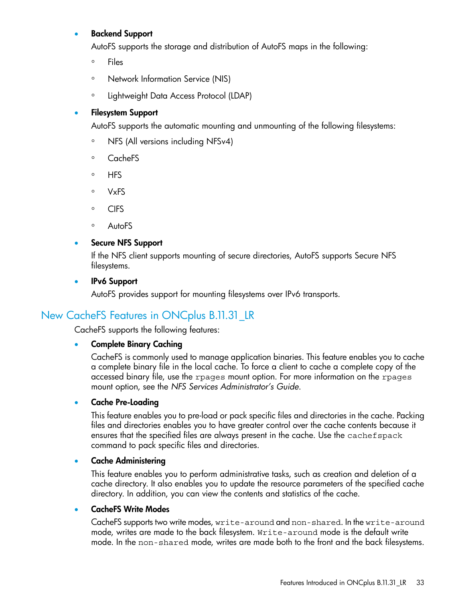### • Backend Support

AutoFS supports the storage and distribution of AutoFS maps in the following:

- Files
- Network Information Service (NIS)
- Lightweight Data Access Protocol (LDAP)

### • Filesystem Support

AutoFS supports the automatic mounting and unmounting of the following filesystems:

- NFS (All versions including NFSv4)
- CacheFS
- HFS
- VxFS
- CIFS
- AutoFS

### Secure NFS Support

If the NFS client supports mounting of secure directories, AutoFS supports Secure NFS filesystems.

#### <span id="page-32-0"></span>• IPv6 Support

AutoFS provides support for mounting filesystems over IPv6 transports.

### New CacheFS Features in ONCplus B.11.31\_LR

CacheFS supports the following features:

#### • Complete Binary Caching

CacheFS is commonly used to manage application binaries. This feature enables you to cache a complete binary file in the local cache. To force a client to cache a complete copy of the accessed binary file, use the rpages mount option. For more information on the rpages mount option, see the *NFS Services Administrator's Guide*.

#### • Cache Pre-Loading

This feature enables you to pre-load or pack specific files and directories in the cache. Packing files and directories enables you to have greater control over the cache contents because it ensures that the specified files are always present in the cache. Use the cachefspack command to pack specific files and directories.

#### • Cache Administering

This feature enables you to perform administrative tasks, such as creation and deletion of a cache directory. It also enables you to update the resource parameters of the specified cache directory. In addition, you can view the contents and statistics of the cache.

#### • CacheFS Write Modes

CacheFS supports two write modes, write-around and non-shared. In the write-around mode, writes are made to the back filesystem. Write-around mode is the default write mode. In the non-shared mode, writes are made both to the front and the back filesystems.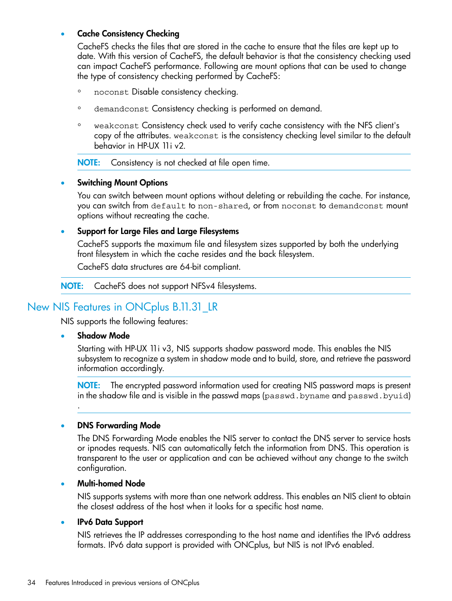#### **Cache Consistency Checking**

CacheFS checks the files that are stored in the cache to ensure that the files are kept up to date. With this version of CacheFS, the default behavior is that the consistency checking used can impact CacheFS performance. Following are mount options that can be used to change the type of consistency checking performed by CacheFS:

- noconst Disable consistency checking.
- demandconst Consistency checking is performed on demand.
- weakconst Consistency check used to verify cache consistency with the NFS client's copy of the attributes. weakconst is the consistency checking level similar to the default behavior in HP-UX 11i v2.

NOTE: Consistency is not checked at file open time.

#### **Switching Mount Options**

You can switch between mount options without deleting or rebuilding the cache. For instance, you can switch from default to non-shared, or from noconst to demandconst mount options without recreating the cache.

#### • Support for Large Files and Large Filesystems

CacheFS supports the maximum file and filesystem sizes supported by both the underlying front filesystem in which the cache resides and the back filesystem.

CacheFS data structures are 64-bit compliant.

<span id="page-33-0"></span>NOTE: CacheFS does not support NFSv4 filesystems.

### New NIS Features in ONCplus B.11.31\_LR

NIS supports the following features:

#### Shadow Mode

.

Starting with HP-UX 11i v3, NIS supports shadow password mode. This enables the NIS subsystem to recognize a system in shadow mode and to build, store, and retrieve the password information accordingly.

NOTE: The encrypted password information used for creating NIS password maps is present in the shadow file and is visible in the passwd maps (passwd.byname and passwd.byuid)

#### • DNS Forwarding Mode

The DNS Forwarding Mode enables the NIS server to contact the DNS server to service hosts or ipnodes requests. NIS can automatically fetch the information from DNS. This operation is transparent to the user or application and can be achieved without any change to the switch configuration.

#### • Multi-homed Node

NIS supports systems with more than one network address. This enables an NIS client to obtain the closest address of the host when it looks for a specific host name.

#### • IPv6 Data Support

NIS retrieves the IP addresses corresponding to the host name and identifies the IPv6 address formats. IPv6 data support is provided with ONCplus, but NIS is not IPv6 enabled.